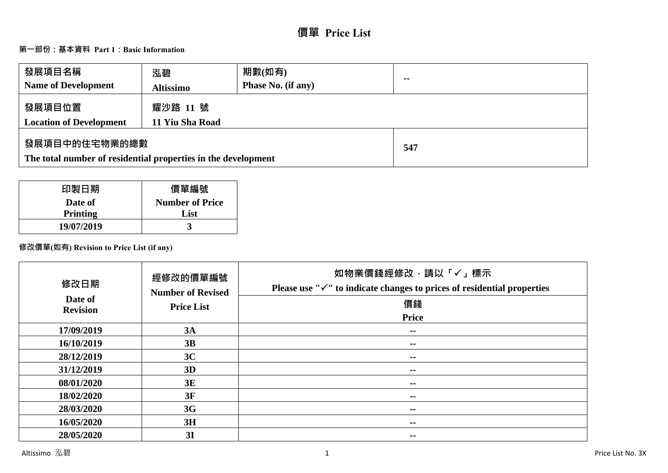# **價單 Price List**

# **第一部份:基本資料 Part 1:Basic Information**

| 發展項目名稱<br><b>Name of Development</b>                                           | 泓碧<br><b>Altissimo</b>      | 期數(如有)<br><b>Phase No. (if any)</b> | $\sim$ |
|--------------------------------------------------------------------------------|-----------------------------|-------------------------------------|--------|
| 發展項目位置<br><b>Location of Development</b>                                       | 耀沙路 11 號<br>11 Yiu Sha Road |                                     |        |
| 發展項目中的住宅物業的總數<br>The total number of residential properties in the development |                             | 547                                 |        |

| 印製日期            | 價單編號                   |
|-----------------|------------------------|
| Date of         | <b>Number of Price</b> |
| <b>Printing</b> | List                   |
| 19/07/2019      |                        |

# **修改價單(如有) Revision to Price List (if any)**

| 修改日期<br>Date of<br><b>Revision</b> | 經修改的價單編號<br><b>Number of Revised</b><br><b>Price List</b> | 如物業價錢經修改,請以「✓」標示<br>Please use " $\checkmark$ " to indicate changes to prices of residential properties<br>價錢 |
|------------------------------------|-----------------------------------------------------------|---------------------------------------------------------------------------------------------------------------|
|                                    |                                                           | <b>Price</b>                                                                                                  |
| 17/09/2019                         | 3A                                                        | $\sim$ $\sim$                                                                                                 |
| 16/10/2019                         | 3B                                                        | $- -$                                                                                                         |
| 28/12/2019                         | 3C                                                        | $- -$                                                                                                         |
| 31/12/2019                         | 3D                                                        | --                                                                                                            |
| 08/01/2020                         | 3E                                                        | --                                                                                                            |
| 18/02/2020                         | 3F                                                        | --                                                                                                            |
| 28/03/2020                         | 3G                                                        | --                                                                                                            |
| 16/05/2020                         | 3H                                                        | --                                                                                                            |
| 28/05/2020                         | 3I                                                        | --                                                                                                            |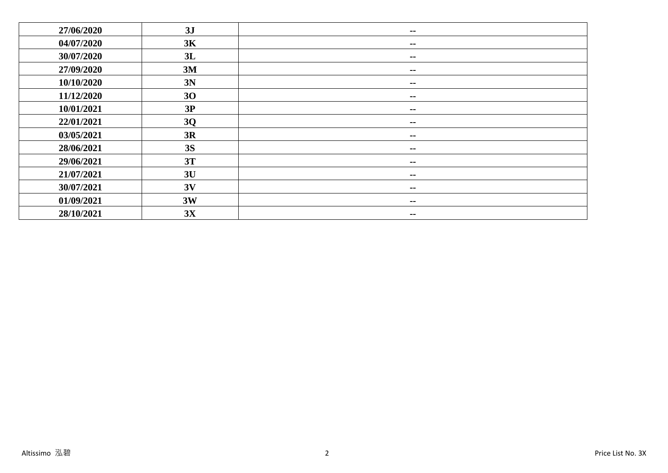| 27/06/2020 | 3J        | $\sim$ $\sim$            |
|------------|-----------|--------------------------|
| 04/07/2020 | 3K        | $\sim$ $\sim$            |
| 30/07/2020 | 3L        | $\sim$ $\sim$            |
| 27/09/2020 | 3M        | $\overline{\phantom{m}}$ |
| 10/10/2020 | 3N        | $\sim$ $-$               |
| 11/12/2020 | 30        | $\sim$ $\sim$            |
| 10/01/2021 | 3P        | $\sim$ $\sim$            |
| 22/01/2021 | 3Q        | $\sim$                   |
| 03/05/2021 | 3R        | $\sim$ $\sim$            |
| 28/06/2021 | <b>3S</b> | $\overline{\phantom{m}}$ |
| 29/06/2021 | 3T        | $\sim$ $-$               |
| 21/07/2021 | 3U        | $\sim$                   |
| 30/07/2021 | 3V        | $\sim$ $-$               |
| 01/09/2021 | 3W        | $\sim$ $\sim$            |
| 28/10/2021 | 3X        | $\sim$ $-$               |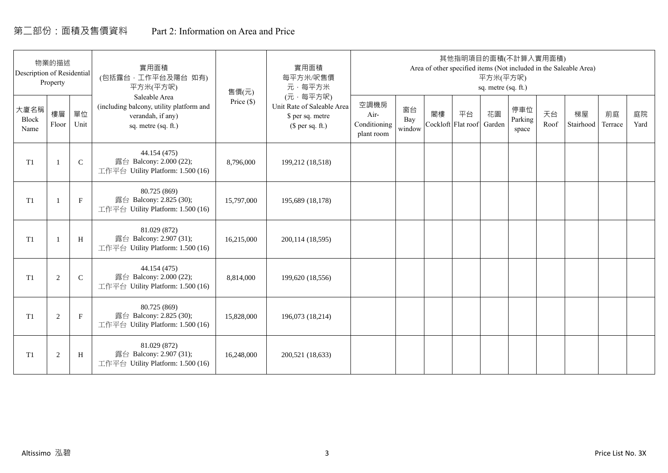# 第二部份:面積及售價資料 Part 2: Information on Area and Price

| Description of Residential | 物業的描述<br>Property |              | 實用面積<br>(包括露台·工作平台及陽台 如有)<br>平方米(平方呎)                                                                 | 售價(元)        | 實用面積<br>每平方米/呎售價<br>元·每平方米                                                     |                                            |                     |    | 其他指明項目的面積(不計算入實用面積)      | 平方米(平方呎)<br>sq. metre (sq. ft.) |                         |            | Area of other specified items (Not included in the Saleable Area) |               |            |
|----------------------------|-------------------|--------------|-------------------------------------------------------------------------------------------------------|--------------|--------------------------------------------------------------------------------|--------------------------------------------|---------------------|----|--------------------------|---------------------------------|-------------------------|------------|-------------------------------------------------------------------|---------------|------------|
| 大廈名稱<br>Block<br>Name      | 樓層<br>Floor       | 單位<br>Unit   | Saleable Area<br>(including balcony, utility platform and<br>verandah, if any)<br>sq. metre (sq. ft.) | Price $(\$)$ | (元·每平方呎)<br>Unit Rate of Saleable Area<br>\$ per sq. metre<br>$$$ per sq. ft.) | 空調機房<br>Air-<br>Conditioning<br>plant room | 窗台<br>Bay<br>window | 閣樓 | 平台<br>Cockloft Flat roof | 花園<br>Garden                    | 停車位<br>Parking<br>space | 天台<br>Roof | 梯屋<br>Stairhood                                                   | 前庭<br>Terrace | 庭院<br>Yard |
| T1                         |                   | $\mathsf{C}$ | 44.154 (475)<br>露台 Balcony: 2.000 (22);<br>工作平台 Utility Platform: 1.500 (16)                          | 8,796,000    | 199,212 (18,518)                                                               |                                            |                     |    |                          |                                 |                         |            |                                                                   |               |            |
| T <sub>1</sub>             |                   | $\mathbf{F}$ | 80.725 (869)<br>露台 Balcony: 2.825 (30);<br>工作平台 Utility Platform: 1.500 (16)                          | 15,797,000   | 195,689 (18,178)                                                               |                                            |                     |    |                          |                                 |                         |            |                                                                   |               |            |
| T <sub>1</sub>             |                   | H            | 81.029 (872)<br>露台 Balcony: 2.907 (31);<br>工作平台 Utility Platform: 1.500 (16)                          | 16,215,000   | 200, 114 (18, 595)                                                             |                                            |                     |    |                          |                                 |                         |            |                                                                   |               |            |
| T <sub>1</sub>             | 2                 | $\mathbf C$  | 44.154 (475)<br>露台 Balcony: 2.000 (22);<br>工作平台 Utility Platform: 1.500 (16)                          | 8,814,000    | 199,620 (18,556)                                                               |                                            |                     |    |                          |                                 |                         |            |                                                                   |               |            |
| T <sub>1</sub>             | 2                 | $\mathbf{F}$ | 80.725 (869)<br>露台 Balcony: 2.825 (30);<br>工作平台 Utility Platform: 1.500 (16)                          | 15,828,000   | 196,073 (18,214)                                                               |                                            |                     |    |                          |                                 |                         |            |                                                                   |               |            |
| T1                         | $\overline{2}$    | H            | 81.029 (872)<br>露台 Balcony: 2.907 (31);<br>工作平台 Utility Platform: 1.500 (16)                          | 16,248,000   | 200,521 (18,633)                                                               |                                            |                     |    |                          |                                 |                         |            |                                                                   |               |            |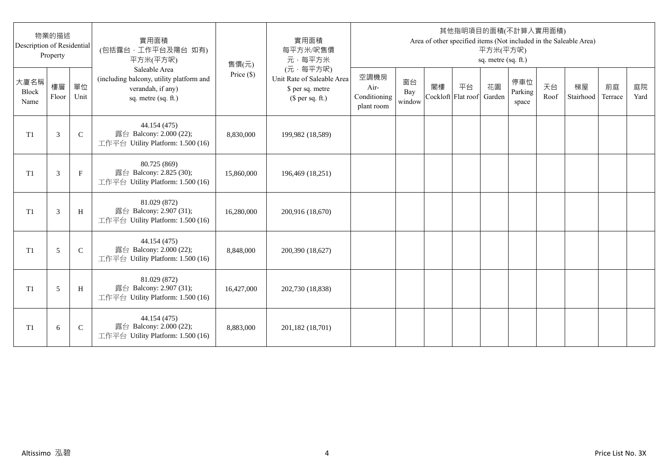| Description of Residential | 物業的描述<br>Property |              | 實用面積<br>(包括露台,工作平台及陽台 如有)<br>平方米(平方呎)                                                                 | 售價(元)      | 實用面積<br>每平方米/呎售價<br>元·每平方米                                                     |                                            |                     |                          |    | 平方米(平方呎)<br>sq. metre (sq. ft.) | 其他指明項目的面積(不計算入實用面積)     |            | Area of other specified items (Not included in the Saleable Area) |               |            |
|----------------------------|-------------------|--------------|-------------------------------------------------------------------------------------------------------|------------|--------------------------------------------------------------------------------|--------------------------------------------|---------------------|--------------------------|----|---------------------------------|-------------------------|------------|-------------------------------------------------------------------|---------------|------------|
| 大廈名稱<br>Block<br>Name      | 樓層<br>Floor       | 單位<br>Unit   | Saleable Area<br>(including balcony, utility platform and<br>verandah, if any)<br>sq. metre (sq. ft.) | Price (\$) | (元·每平方呎)<br>Unit Rate of Saleable Area<br>\$ per sq. metre<br>$$$ per sq. ft.) | 空調機房<br>Air-<br>Conditioning<br>plant room | 窗台<br>Bay<br>window | 閣樓<br>Cockloft Flat roof | 平台 | 花園<br>Garden                    | 停車位<br>Parking<br>space | 天台<br>Roof | 梯屋<br>Stairhood                                                   | 前庭<br>Terrace | 庭院<br>Yard |
| T <sub>1</sub>             | 3                 | $\mathsf{C}$ | 44.154 (475)<br>露台 Balcony: 2.000 (22);<br>工作平台 Utility Platform: 1.500 (16)                          | 8,830,000  | 199,982 (18,589)                                                               |                                            |                     |                          |    |                                 |                         |            |                                                                   |               |            |
| T <sub>1</sub>             | 3                 | $_{\rm F}$   | 80.725 (869)<br>露台 Balcony: 2.825 (30);<br>工作平台 Utility Platform: 1.500 (16)                          | 15,860,000 | 196,469 (18,251)                                                               |                                            |                     |                          |    |                                 |                         |            |                                                                   |               |            |
| T1                         | 3                 | H            | 81.029 (872)<br>露台 Balcony: 2.907 (31);<br>工作平台 Utility Platform: 1.500 (16)                          | 16,280,000 | 200,916 (18,670)                                                               |                                            |                     |                          |    |                                 |                         |            |                                                                   |               |            |
| T1                         | 5                 | $\mathsf{C}$ | 44.154 (475)<br>露台 Balcony: 2.000 (22);<br>工作平台 Utility Platform: 1.500 (16)                          | 8,848,000  | 200,390 (18,627)                                                               |                                            |                     |                          |    |                                 |                         |            |                                                                   |               |            |
| T1                         | 5                 | H            | 81.029 (872)<br>露台 Balcony: 2.907 (31);<br>工作平台 Utility Platform: 1.500 (16)                          | 16,427,000 | 202,730 (18,838)                                                               |                                            |                     |                          |    |                                 |                         |            |                                                                   |               |            |
| T <sub>1</sub>             | 6                 | $\mathsf{C}$ | 44.154 (475)<br>露台 Balcony: 2.000 (22);<br>工作平台 Utility Platform: 1.500 (16)                          | 8,883,000  | 201,182 (18,701)                                                               |                                            |                     |                          |    |                                 |                         |            |                                                                   |               |            |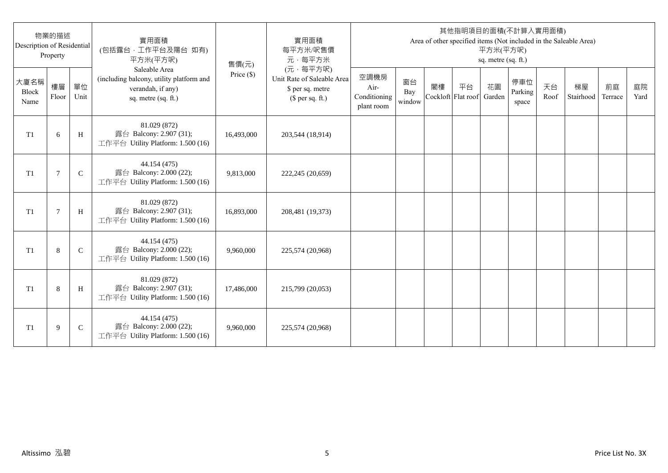| Description of Residential | 物業的描述<br>Property |              | 實用面積<br>(包括露台,工作平台及陽台 如有)<br>平方米(平方呎)                                                                 | 售價(元)      | 實用面積<br>每平方米/呎售價<br>元·每平方米                                                     |                                            |                     |                          |    | 平方米(平方呎)<br>sq. metre (sq. ft.) | 其他指明項目的面積(不計算入實用面積)     |            | Area of other specified items (Not included in the Saleable Area) |               |            |
|----------------------------|-------------------|--------------|-------------------------------------------------------------------------------------------------------|------------|--------------------------------------------------------------------------------|--------------------------------------------|---------------------|--------------------------|----|---------------------------------|-------------------------|------------|-------------------------------------------------------------------|---------------|------------|
| 大廈名稱<br>Block<br>Name      | 樓層<br>Floor       | 單位<br>Unit   | Saleable Area<br>(including balcony, utility platform and<br>verandah, if any)<br>sq. metre (sq. ft.) | Price (\$) | (元·每平方呎)<br>Unit Rate of Saleable Area<br>\$ per sq. metre<br>$$$ per sq. ft.) | 空調機房<br>Air-<br>Conditioning<br>plant room | 窗台<br>Bay<br>window | 閣樓<br>Cockloft Flat roof | 平台 | 花園<br>Garden                    | 停車位<br>Parking<br>space | 天台<br>Roof | 梯屋<br>Stairhood                                                   | 前庭<br>Terrace | 庭院<br>Yard |
| T <sub>1</sub>             | 6                 | H            | 81.029 (872)<br>露台 Balcony: 2.907 (31);<br>工作平台 Utility Platform: 1.500 (16)                          | 16,493,000 | 203,544 (18,914)                                                               |                                            |                     |                          |    |                                 |                         |            |                                                                   |               |            |
| T <sub>1</sub>             | 7                 | $\mathsf{C}$ | 44.154 (475)<br>露台 Balcony: 2.000 (22);<br>工作平台 Utility Platform: 1.500 (16)                          | 9,813,000  | 222,245 (20,659)                                                               |                                            |                     |                          |    |                                 |                         |            |                                                                   |               |            |
| T1                         | $\overline{7}$    | H            | 81.029 (872)<br>露台 Balcony: 2.907 (31);<br>工作平台 Utility Platform: 1.500 (16)                          | 16,893,000 | 208,481 (19,373)                                                               |                                            |                     |                          |    |                                 |                         |            |                                                                   |               |            |
| T1                         | 8                 | $\mathsf{C}$ | 44.154 (475)<br>露台 Balcony: 2.000 (22);<br>工作平台 Utility Platform: 1.500 (16)                          | 9,960,000  | 225,574 (20,968)                                                               |                                            |                     |                          |    |                                 |                         |            |                                                                   |               |            |
| T1                         | 8                 | H            | 81.029 (872)<br>露台 Balcony: 2.907 (31);<br>工作平台 Utility Platform: 1.500 (16)                          | 17,486,000 | 215,799 (20,053)                                                               |                                            |                     |                          |    |                                 |                         |            |                                                                   |               |            |
| T <sub>1</sub>             | 9                 | $\mathsf{C}$ | 44.154 (475)<br>露台 Balcony: 2.000 (22);<br>工作平台 Utility Platform: 1.500 (16)                          | 9,960,000  | 225,574 (20,968)                                                               |                                            |                     |                          |    |                                 |                         |            |                                                                   |               |            |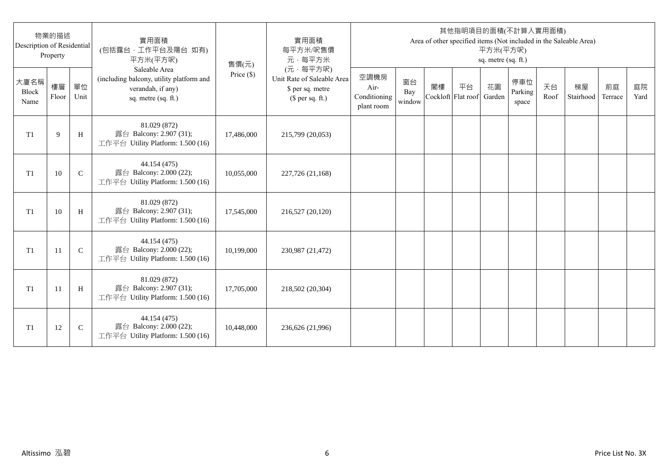| Description of Residential | 物業的描述<br>Property |              | 實用面積<br>(包括露台,工作平台及陽台 如有)<br>平方米(平方呎)                                                                 | 售價(元)      | 實用面積<br>每平方米/呎售價<br>元·每平方米                                                     |                                            |                     |                          |    | 平方米(平方呎)<br>sq. metre (sq. ft.) | 其他指明項目的面積(不計算入實用面積)     |            | Area of other specified items (Not included in the Saleable Area) |               |            |
|----------------------------|-------------------|--------------|-------------------------------------------------------------------------------------------------------|------------|--------------------------------------------------------------------------------|--------------------------------------------|---------------------|--------------------------|----|---------------------------------|-------------------------|------------|-------------------------------------------------------------------|---------------|------------|
| 大廈名稱<br>Block<br>Name      | 樓層<br>Floor       | 單位<br>Unit   | Saleable Area<br>(including balcony, utility platform and<br>verandah, if any)<br>sq. metre (sq. ft.) | Price (\$) | (元·每平方呎)<br>Unit Rate of Saleable Area<br>\$ per sq. metre<br>$$$ per sq. ft.) | 空調機房<br>Air-<br>Conditioning<br>plant room | 窗台<br>Bay<br>window | 閣樓<br>Cockloft Flat roof | 平台 | 花園<br>Garden                    | 停車位<br>Parking<br>space | 天台<br>Roof | 梯屋<br>Stairhood                                                   | 前庭<br>Terrace | 庭院<br>Yard |
| T <sub>1</sub>             | 9                 | H            | 81.029 (872)<br>露台 Balcony: 2.907 (31);<br>工作平台 Utility Platform: 1.500 (16)                          | 17,486,000 | 215,799 (20,053)                                                               |                                            |                     |                          |    |                                 |                         |            |                                                                   |               |            |
| T <sub>1</sub>             | 10                | $\mathsf{C}$ | 44.154 (475)<br>露台 Balcony: 2.000 (22);<br>工作平台 Utility Platform: 1.500 (16)                          | 10,055,000 | 227,726 (21,168)                                                               |                                            |                     |                          |    |                                 |                         |            |                                                                   |               |            |
| T1                         | 10                | H            | 81.029 (872)<br>露台 Balcony: 2.907 (31);<br>工作平台 Utility Platform: 1.500 (16)                          | 17,545,000 | 216,527 (20,120)                                                               |                                            |                     |                          |    |                                 |                         |            |                                                                   |               |            |
| T1                         | 11                | $\mathbf C$  | 44.154 (475)<br>露台 Balcony: 2.000 (22);<br>工作平台 Utility Platform: 1.500 (16)                          | 10,199,000 | 230,987 (21,472)                                                               |                                            |                     |                          |    |                                 |                         |            |                                                                   |               |            |
| T1                         | -11               | H            | 81.029 (872)<br>露台 Balcony: 2.907 (31);<br>工作平台 Utility Platform: 1.500 (16)                          | 17,705,000 | 218,502 (20,304)                                                               |                                            |                     |                          |    |                                 |                         |            |                                                                   |               |            |
| T <sub>1</sub>             | 12                | $\mathsf{C}$ | 44.154 (475)<br>露台 Balcony: 2.000 (22);<br>工作平台 Utility Platform: 1.500 (16)                          | 10,448,000 | 236,626 (21,996)                                                               |                                            |                     |                          |    |                                 |                         |            |                                                                   |               |            |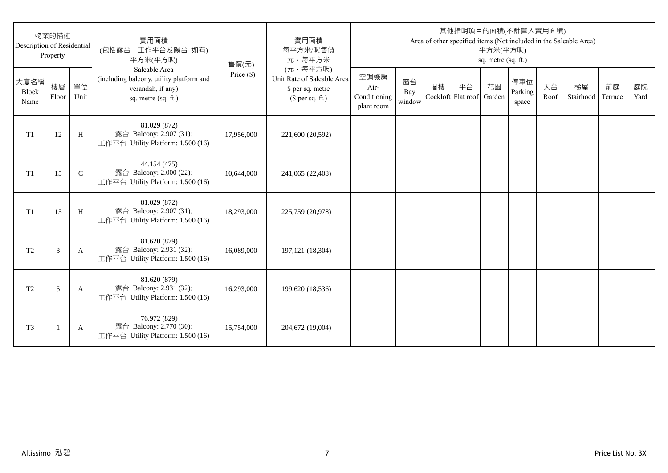| Description of Residential | 物業的描述<br>Property |               | 實用面積<br>(包括露台,工作平台及陽台 如有)<br>平方米(平方呎)                                                                 | 售價(元)      | 實用面積<br>每平方米/呎售價<br>元·每平方米                                                     |                                            |                     |    |                          | 平方米(平方呎)<br>sq. metre (sq. ft.) | 其他指明項目的面積(不計算入實用面積)     |            | Area of other specified items (Not included in the Saleable Area) |               |            |
|----------------------------|-------------------|---------------|-------------------------------------------------------------------------------------------------------|------------|--------------------------------------------------------------------------------|--------------------------------------------|---------------------|----|--------------------------|---------------------------------|-------------------------|------------|-------------------------------------------------------------------|---------------|------------|
| 大廈名稱<br>Block<br>Name      | 樓層<br>Floor       | 單位<br>Unit    | Saleable Area<br>(including balcony, utility platform and<br>verandah, if any)<br>sq. metre (sq. ft.) | Price (\$) | (元·每平方呎)<br>Unit Rate of Saleable Area<br>\$ per sq. metre<br>$$$ per sq. ft.) | 空調機房<br>Air-<br>Conditioning<br>plant room | 窗台<br>Bay<br>window | 閣樓 | 平台<br>Cockloft Flat roof | 花園<br>Garden                    | 停車位<br>Parking<br>space | 天台<br>Roof | 梯屋<br>Stairhood                                                   | 前庭<br>Terrace | 庭院<br>Yard |
| T1                         | 12                | H             | 81.029 (872)<br>露台 Balcony: 2.907 (31);<br>工作平台 Utility Platform: 1.500 (16)                          | 17,956,000 | 221,600 (20,592)                                                               |                                            |                     |    |                          |                                 |                         |            |                                                                   |               |            |
| T1                         | 15                | $\mathcal{C}$ | 44.154 (475)<br>露台 Balcony: 2.000 (22);<br>工作平台 Utility Platform: 1.500 (16)                          | 10,644,000 | 241,065 (22,408)                                                               |                                            |                     |    |                          |                                 |                         |            |                                                                   |               |            |
| T1                         | 15                | H             | 81.029 (872)<br>露台 Balcony: 2.907 (31);<br>工作平台 Utility Platform: 1.500 (16)                          | 18,293,000 | 225,759 (20,978)                                                               |                                            |                     |    |                          |                                 |                         |            |                                                                   |               |            |
| T <sub>2</sub>             | 3                 | A             | 81.620 (879)<br>露台 Balcony: 2.931 (32);<br>工作平台 Utility Platform: 1.500 (16)                          | 16,089,000 | 197, 121 (18, 304)                                                             |                                            |                     |    |                          |                                 |                         |            |                                                                   |               |            |
| T <sub>2</sub>             | 5                 | A             | 81.620 (879)<br>露台 Balcony: 2.931 (32);<br>工作平台 Utility Platform: 1.500 (16)                          | 16,293,000 | 199,620 (18,536)                                                               |                                            |                     |    |                          |                                 |                         |            |                                                                   |               |            |
| T <sub>3</sub>             |                   | A             | 76.972 (829)<br>露台 Balcony: 2.770 (30);<br>工作平台 Utility Platform: 1.500 (16)                          | 15,754,000 | 204,672 (19,004)                                                               |                                            |                     |    |                          |                                 |                         |            |                                                                   |               |            |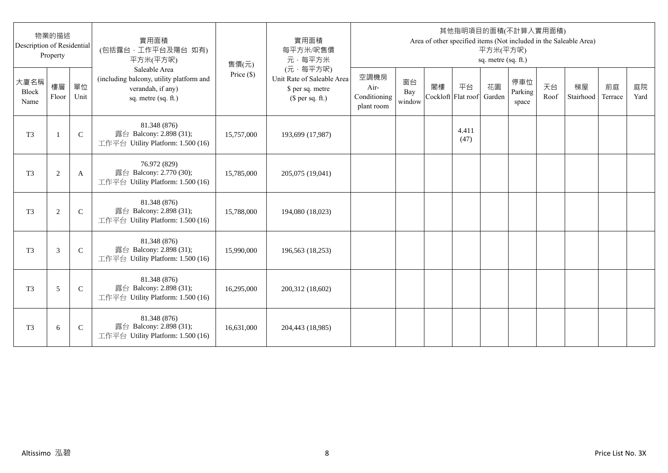| Description of Residential | 物業的描述<br>Property |               | 實用面積<br>(包括露台,工作平台及陽台 如有)<br>平方米(平方呎)                                                                 | 售價(元)      | 實用面積<br>每平方米/呎售價<br>元·每平方米                                                     |                                            |                     |                          |               | 平方米(平方呎)<br>sq. metre (sq. ft.) | 其他指明項目的面積(不計算入實用面積)     |            | Area of other specified items (Not included in the Saleable Area) |               |            |
|----------------------------|-------------------|---------------|-------------------------------------------------------------------------------------------------------|------------|--------------------------------------------------------------------------------|--------------------------------------------|---------------------|--------------------------|---------------|---------------------------------|-------------------------|------------|-------------------------------------------------------------------|---------------|------------|
| 大廈名稱<br>Block<br>Name      | 樓層<br>Floor       | 單位<br>Unit    | Saleable Area<br>(including balcony, utility platform and<br>verandah, if any)<br>sq. metre (sq. ft.) | Price (\$) | (元·每平方呎)<br>Unit Rate of Saleable Area<br>\$ per sq. metre<br>$$$ per sq. ft.) | 空調機房<br>Air-<br>Conditioning<br>plant room | 窗台<br>Bay<br>window | 閣樓<br>Cockloft Flat roof | 平台            | 花園<br>Garden                    | 停車位<br>Parking<br>space | 天台<br>Roof | 梯屋<br>Stairhood                                                   | 前庭<br>Terrace | 庭院<br>Yard |
| T <sub>3</sub>             | $\mathbf{1}$      | $\mathsf{C}$  | 81.348 (876)<br>露台 Balcony: 2.898 (31);<br>工作平台 Utility Platform: 1.500 (16)                          | 15,757,000 | 193,699 (17,987)                                                               |                                            |                     |                          | 4.411<br>(47) |                                 |                         |            |                                                                   |               |            |
| T <sub>3</sub>             | $\sqrt{2}$        | A             | 76.972 (829)<br>露台 Balcony: 2.770 (30);<br>工作平台 Utility Platform: 1.500 (16)                          | 15,785,000 | 205,075 (19,041)                                                               |                                            |                     |                          |               |                                 |                         |            |                                                                   |               |            |
| T <sub>3</sub>             | 2                 | $\mathcal{C}$ | 81.348 (876)<br>露台 Balcony: 2.898 (31);<br>工作平台 Utility Platform: 1.500 (16)                          | 15,788,000 | 194,080 (18,023)                                                               |                                            |                     |                          |               |                                 |                         |            |                                                                   |               |            |
| T <sub>3</sub>             | 3                 | $\mathcal{C}$ | 81.348 (876)<br>露台 Balcony: 2.898 (31);<br>工作平台 Utility Platform: 1.500 (16)                          | 15,990,000 | 196,563 (18,253)                                                               |                                            |                     |                          |               |                                 |                         |            |                                                                   |               |            |
| T <sub>3</sub>             | 5                 | $\mathsf{C}$  | 81.348 (876)<br>露台 Balcony: 2.898 (31);<br>工作平台 Utility Platform: 1.500 (16)                          | 16,295,000 | 200,312 (18,602)                                                               |                                            |                     |                          |               |                                 |                         |            |                                                                   |               |            |
| T <sub>3</sub>             | 6                 | $\mathsf{C}$  | 81.348 (876)<br>露台 Balcony: 2.898 (31);<br>工作平台 Utility Platform: 1.500 (16)                          | 16,631,000 | 204,443 (18,985)                                                               |                                            |                     |                          |               |                                 |                         |            |                                                                   |               |            |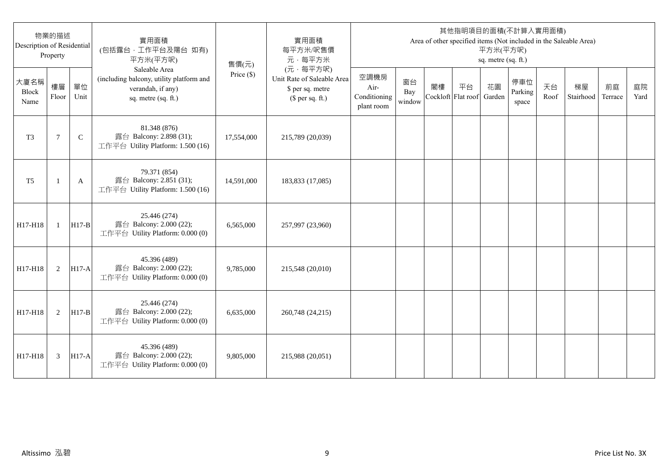| Description of Residential | 物業的描述<br>Property |              | 實用面積<br>(包括露台,工作平台及陽台 如有)<br>平方米(平方呎)                                                                 | 售價(元)      | 實用面積<br>每平方米/呎售價<br>元·每平方米                                                     |                                            |                     |                          |    | 平方米(平方呎)<br>sq. metre (sq. ft.) | 其他指明項目的面積(不計算入實用面積)     |            | Area of other specified items (Not included in the Saleable Area) |               |            |
|----------------------------|-------------------|--------------|-------------------------------------------------------------------------------------------------------|------------|--------------------------------------------------------------------------------|--------------------------------------------|---------------------|--------------------------|----|---------------------------------|-------------------------|------------|-------------------------------------------------------------------|---------------|------------|
| 大廈名稱<br>Block<br>Name      | 樓層<br>Floor       | 單位<br>Unit   | Saleable Area<br>(including balcony, utility platform and<br>verandah, if any)<br>sq. metre (sq. ft.) | Price (\$) | (元·每平方呎)<br>Unit Rate of Saleable Area<br>\$ per sq. metre<br>$$$ per sq. ft.) | 空調機房<br>Air-<br>Conditioning<br>plant room | 窗台<br>Bay<br>window | 閣樓<br>Cockloft Flat roof | 平台 | 花園<br>Garden                    | 停車位<br>Parking<br>space | 天台<br>Roof | 梯屋<br>Stairhood                                                   | 前庭<br>Terrace | 庭院<br>Yard |
| T <sub>3</sub>             | $\tau$            | $\mathsf{C}$ | 81.348 (876)<br>露台 Balcony: 2.898 (31);<br>工作平台 Utility Platform: 1.500 (16)                          | 17,554,000 | 215,789 (20,039)                                                               |                                            |                     |                          |    |                                 |                         |            |                                                                   |               |            |
| T <sub>5</sub>             |                   | A            | 79.371 (854)<br>露台 Balcony: 2.851 (31);<br>工作平台 Utility Platform: 1.500 (16)                          | 14,591,000 | 183,833 (17,085)                                                               |                                            |                     |                          |    |                                 |                         |            |                                                                   |               |            |
| H17-H18                    | $\mathbf{1}$      | $H17-B$      | 25.446 (274)<br>露台 Balcony: 2.000 (22);<br>工作平台 Utility Platform: 0.000 (0)                           | 6,565,000  | 257,997 (23,960)                                                               |                                            |                     |                          |    |                                 |                         |            |                                                                   |               |            |
| H17-H18                    | 2                 | $H17-A$      | 45.396 (489)<br>露台 Balcony: 2.000 (22);<br>工作平台 Utility Platform: 0.000 (0)                           | 9,785,000  | 215,548 (20,010)                                                               |                                            |                     |                          |    |                                 |                         |            |                                                                   |               |            |
| H17-H18                    | 2                 | $H17-B$      | 25.446 (274)<br>露台 Balcony: 2.000 (22);<br>工作平台 Utility Platform: 0.000 (0)                           | 6,635,000  | 260,748 (24,215)                                                               |                                            |                     |                          |    |                                 |                         |            |                                                                   |               |            |
| H17-H18                    | 3                 | <b>H17-A</b> | 45.396 (489)<br>露台 Balcony: 2.000 (22);<br>工作平台 Utility Platform: 0.000 (0)                           | 9,805,000  | 215,988 (20,051)                                                               |                                            |                     |                          |    |                                 |                         |            |                                                                   |               |            |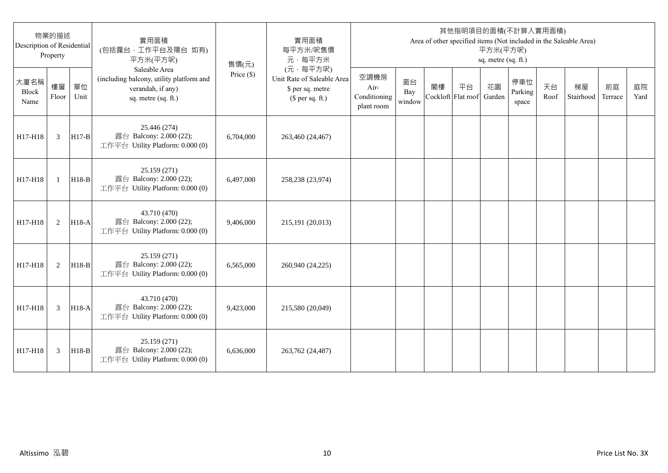| Description of Residential | 物業的描述<br>Property |            | 實用面積<br>(包括露台,工作平台及陽台 如有)<br>平方米(平方呎)                                                                 | 售價(元)        | 實用面積<br>每平方米/呎售價<br>元·每平方米                                                     |                                            |                     |                          |    | 平方米(平方呎)<br>sq. metre (sq. ft.) | 其他指明項目的面積(不計算入實用面積)     |            | Area of other specified items (Not included in the Saleable Area) |               |            |
|----------------------------|-------------------|------------|-------------------------------------------------------------------------------------------------------|--------------|--------------------------------------------------------------------------------|--------------------------------------------|---------------------|--------------------------|----|---------------------------------|-------------------------|------------|-------------------------------------------------------------------|---------------|------------|
| 大廈名稱<br>Block<br>Name      | 樓層<br>Floor       | 單位<br>Unit | Saleable Area<br>(including balcony, utility platform and<br>verandah, if any)<br>sq. metre (sq. ft.) | Price $(\$)$ | (元·每平方呎)<br>Unit Rate of Saleable Area<br>\$ per sq. metre<br>$$$ per sq. ft.) | 空調機房<br>Air-<br>Conditioning<br>plant room | 窗台<br>Bay<br>window | 閣樓<br>Cockloft Flat roof | 平台 | 花園<br>Garden                    | 停車位<br>Parking<br>space | 天台<br>Roof | 梯屋<br>Stairhood                                                   | 前庭<br>Terrace | 庭院<br>Yard |
| H17-H18                    | 3                 | $H17-B$    | 25.446 (274)<br>露台 Balcony: 2.000 (22);<br>工作平台 Utility Platform: 0.000 (0)                           | 6,704,000    | 263,460 (24,467)                                                               |                                            |                     |                          |    |                                 |                         |            |                                                                   |               |            |
| H17-H18                    | $\mathbf{1}$      | $H18-B$    | 25.159 (271)<br>露台 Balcony: 2.000 (22);<br>工作平台 Utility Platform: 0.000 (0)                           | 6.497,000    | 258,238 (23,974)                                                               |                                            |                     |                          |    |                                 |                         |            |                                                                   |               |            |
| H17-H18                    | 2                 | $H18-A$    | 43.710 (470)<br>露台 Balcony: 2.000 (22);<br>工作平台 Utility Platform: 0.000 (0)                           | 9,406,000    | 215,191 (20,013)                                                               |                                            |                     |                          |    |                                 |                         |            |                                                                   |               |            |
| H17-H18                    | 2                 | $H18-B$    | 25.159 (271)<br>露台 Balcony: 2.000 (22);<br>工作平台 Utility Platform: 0.000 (0)                           | 6,565,000    | 260,940 (24,225)                                                               |                                            |                     |                          |    |                                 |                         |            |                                                                   |               |            |
| H17-H18                    | 3                 | H18-A      | 43.710 (470)<br>露台 Balcony: 2.000 (22);<br>工作平台 Utility Platform: 0.000 (0)                           | 9,423,000    | 215,580 (20,049)                                                               |                                            |                     |                          |    |                                 |                         |            |                                                                   |               |            |
| H17-H18                    | 3                 | $H18-B$    | 25.159 (271)<br>露台 Balcony: 2.000 (22);<br>工作平台 Utility Platform: 0.000 (0)                           | 6.636,000    | 263,762 (24,487)                                                               |                                            |                     |                          |    |                                 |                         |            |                                                                   |               |            |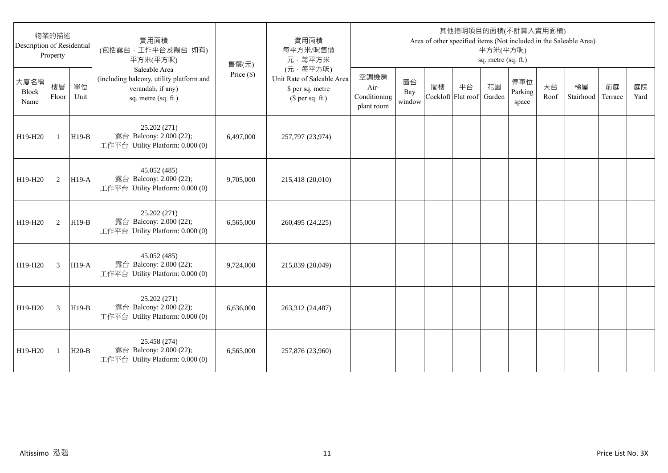| 物業的描述<br>Description of Residential<br>Property |              |            | 實用面積<br>(包括露台,工作平台及陽台 如有)<br>平方米(平方呎)                                                                 | 售價(元)        | 實用面積<br>每平方米/呎售價<br>元·每平方米                                                     | 其他指明項目的面積(不計算入實用面積)<br>Area of other specified items (Not included in the Saleable Area)<br>平方米(平方呎)<br>sq. metre (sq. ft.) |                     |    |                          |              |                         |            |                 |               |            |  |
|-------------------------------------------------|--------------|------------|-------------------------------------------------------------------------------------------------------|--------------|--------------------------------------------------------------------------------|-----------------------------------------------------------------------------------------------------------------------------|---------------------|----|--------------------------|--------------|-------------------------|------------|-----------------|---------------|------------|--|
| 大廈名稱<br>Block<br>Name                           | 樓層<br>Floor  | 單位<br>Unit | Saleable Area<br>(including balcony, utility platform and<br>verandah, if any)<br>sq. metre (sq. ft.) | Price $(\$)$ | (元·每平方呎)<br>Unit Rate of Saleable Area<br>\$ per sq. metre<br>$$$ per sq. ft.) | 空調機房<br>Air-<br>Conditioning<br>plant room                                                                                  | 窗台<br>Bay<br>window | 閣樓 | 平台<br>Cockloft Flat roof | 花園<br>Garden | 停車位<br>Parking<br>space | 天台<br>Roof | 梯屋<br>Stairhood | 前庭<br>Terrace | 庭院<br>Yard |  |
| H19-H20                                         | $\mathbf{1}$ | $H19-B$    | 25.202 (271)<br>露台 Balcony: 2.000 (22);<br>工作平台 Utility Platform: 0.000 (0)                           | 6,497,000    | 257,797 (23,974)                                                               |                                                                                                                             |                     |    |                          |              |                         |            |                 |               |            |  |
| H19-H20                                         | 2            | $H19-A$    | 45.052 (485)<br>露台 Balcony: 2.000 (22);<br>工作平台 Utility Platform: 0.000 (0)                           | 9,705,000    | 215,418 (20,010)                                                               |                                                                                                                             |                     |    |                          |              |                         |            |                 |               |            |  |
| H19-H20                                         | 2            | $H19-B$    | 25.202 (271)<br>露台 Balcony: 2.000 (22);<br>工作平台 Utility Platform: 0.000 (0)                           | 6.565.000    | 260,495 (24,225)                                                               |                                                                                                                             |                     |    |                          |              |                         |            |                 |               |            |  |
| H19-H20                                         | 3            | $H19-A$    | 45.052 (485)<br>露台 Balcony: 2.000 (22);<br>工作平台 Utility Platform: 0.000 (0)                           | 9,724,000    | 215,839 (20,049)                                                               |                                                                                                                             |                     |    |                          |              |                         |            |                 |               |            |  |
| H19-H20                                         | 3            | $H19-B$    | 25.202 (271)<br>露台 Balcony: 2.000 (22);<br>工作平台 Utility Platform: 0.000 (0)                           | 6,636,000    | 263,312 (24,487)                                                               |                                                                                                                             |                     |    |                          |              |                         |            |                 |               |            |  |
| H19-H20                                         | 1            | $H20-B$    | 25.458 (274)<br>露台 Balcony: 2.000 (22);<br>工作平台 Utility Platform: 0.000 (0)                           | 6,565,000    | 257,876 (23,960)                                                               |                                                                                                                             |                     |    |                          |              |                         |            |                 |               |            |  |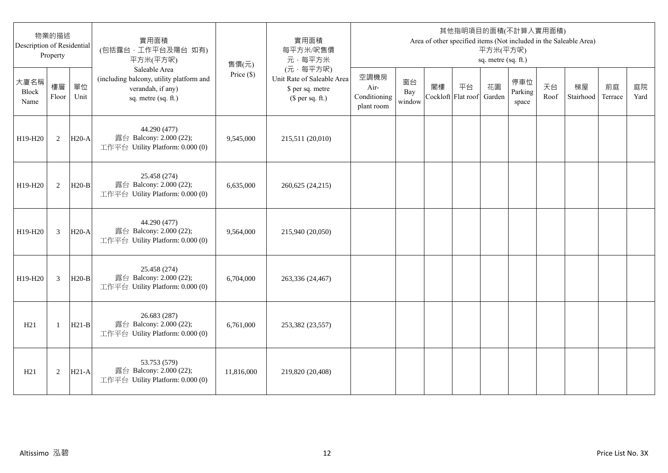| 物業的描述<br>Description of Residential<br>Property |                |            | 實用面積<br>(包括露台,工作平台及陽台 如有)<br>平方米(平方呎)                                                                 | 售價(元)        | 實用面積<br>每平方米/呎售價<br>元·每平方米                                                     | 其他指明項目的面積(不計算入實用面積)<br>Area of other specified items (Not included in the Saleable Area)<br>平方米(平方呎)<br>sq. metre (sq. ft.) |                     |                          |    |              |                         |            |                 |               |            |  |
|-------------------------------------------------|----------------|------------|-------------------------------------------------------------------------------------------------------|--------------|--------------------------------------------------------------------------------|-----------------------------------------------------------------------------------------------------------------------------|---------------------|--------------------------|----|--------------|-------------------------|------------|-----------------|---------------|------------|--|
| 大廈名稱<br>Block<br>Name                           | 樓層<br>Floor    | 單位<br>Unit | Saleable Area<br>(including balcony, utility platform and<br>verandah, if any)<br>sq. metre (sq. ft.) | Price $(\$)$ | (元·每平方呎)<br>Unit Rate of Saleable Area<br>\$ per sq. metre<br>$$$ per sq. ft.) | 空調機房<br>Air-<br>Conditioning<br>plant room                                                                                  | 窗台<br>Bay<br>window | 閣樓<br>Cockloft Flat roof | 平台 | 花園<br>Garden | 停車位<br>Parking<br>space | 天台<br>Roof | 梯屋<br>Stairhood | 前庭<br>Terrace | 庭院<br>Yard |  |
| H19-H20                                         | 2              | $H20-A$    | 44.290 (477)<br>露台 Balcony: 2.000 (22);<br>工作平台 Utility Platform: 0.000 (0)                           | 9,545,000    | 215,511 (20,010)                                                               |                                                                                                                             |                     |                          |    |              |                         |            |                 |               |            |  |
| H19-H20                                         | 2              | $H20-B$    | 25.458 (274)<br>露台 Balcony: 2.000 (22);<br>工作平台 Utility Platform: 0.000 (0)                           | 6,635,000    | 260,625 (24,215)                                                               |                                                                                                                             |                     |                          |    |              |                         |            |                 |               |            |  |
| H19-H20                                         | 3              | $H20-A$    | 44.290 (477)<br>露台 Balcony: 2.000 (22);<br>工作平台 Utility Platform: 0.000 (0)                           | 9,564,000    | 215,940 (20,050)                                                               |                                                                                                                             |                     |                          |    |              |                         |            |                 |               |            |  |
| H19-H20                                         | $\overline{3}$ | $H20-B$    | 25.458 (274)<br>露台 Balcony: 2.000 (22);<br>工作平台 Utility Platform: 0.000 (0)                           | 6,704,000    | 263,336 (24,467)                                                               |                                                                                                                             |                     |                          |    |              |                         |            |                 |               |            |  |
| H21                                             | -1             | $H21-B$    | 26.683 (287)<br>露台 Balcony: 2.000 (22);<br>工作平台 Utility Platform: 0.000 (0)                           | 6,761,000    | 253,382 (23,557)                                                               |                                                                                                                             |                     |                          |    |              |                         |            |                 |               |            |  |
| H21                                             | $\overline{2}$ | $H21-A$    | 53.753 (579)<br>露台 Balcony: 2.000 (22);<br>工作平台 Utility Platform: 0.000 (0)                           | 11,816,000   | 219,820 (20,408)                                                               |                                                                                                                             |                     |                          |    |              |                         |            |                 |               |            |  |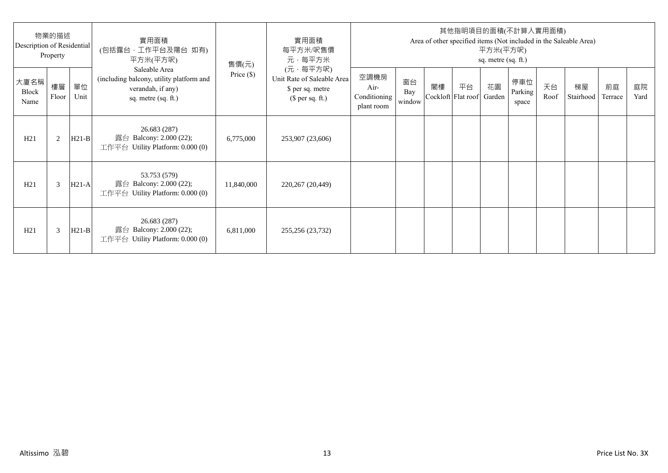| 物業的描述<br>Description of Residential<br>Property |             |            | 實用面積<br>(包括露台·工作平台及陽台 如有)<br>平方米(平方呎)                                                                 | 售價(元)        | 實用面積<br>每平方米/呎售價<br>元·每平方米                                                     | 其他指明項目的面積(不計算入實用面積)<br>Area of other specified items (Not included in the Saleable Area)<br>平方米(平方呎)<br>sq. metre (sq. ft.) |                     |    |                                 |    |                         |            |                 |               |            |
|-------------------------------------------------|-------------|------------|-------------------------------------------------------------------------------------------------------|--------------|--------------------------------------------------------------------------------|-----------------------------------------------------------------------------------------------------------------------------|---------------------|----|---------------------------------|----|-------------------------|------------|-----------------|---------------|------------|
| 大廈名稱<br>Block<br>Name                           | 樓層<br>Floor | 單位<br>Unit | Saleable Area<br>(including balcony, utility platform and<br>verandah, if any)<br>sq. metre (sq. ft.) | Price $(\$)$ | (元·每平方呎)<br>Unit Rate of Saleable Area<br>\$ per sq. metre<br>$$$ per sq. ft.) | 空調機房<br>Air-<br>Conditioning<br>plant room                                                                                  | 窗台<br>Bay<br>window | 閣樓 | 平台<br>Cockloft Flat roof Garden | 花園 | 停車位<br>Parking<br>space | 天台<br>Roof | 梯屋<br>Stairhood | 前庭<br>Terrace | 庭院<br>Yard |
| H21                                             | 2           | $H21-B$    | 26.683 (287)<br>露台 Balcony: 2.000 (22);<br>工作平台 Utility Platform: $0.000(0)$                          | 6,775,000    | 253,907 (23,606)                                                               |                                                                                                                             |                     |    |                                 |    |                         |            |                 |               |            |
| H21                                             | 3           | $H21-A$    | 53.753 (579)<br>露台 Balcony: 2.000 (22);<br>工作平台 Utility Platform: $0.000(0)$                          | 11,840,000   | 220,267 (20,449)                                                               |                                                                                                                             |                     |    |                                 |    |                         |            |                 |               |            |
| H21                                             | 3           | $H21-B$    | 26.683 (287)<br>露台 Balcony: 2.000 (22);<br>工作平台 Utility Platform: $0.000(0)$                          | 6,811,000    | 255,256 (23,732)                                                               |                                                                                                                             |                     |    |                                 |    |                         |            |                 |               |            |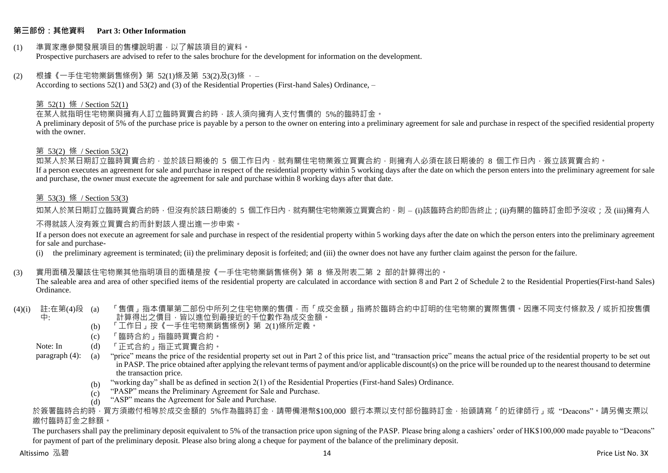#### **第三部份:其他資料 Part 3: Other Information**

#### (1) 準買家應參閱發展項目的售樓說明書,以了解該項目的資料。 Prospective purchasers are advised to refer to the sales brochure for the development for information on the development.

#### $(2)$  根據《一手住宅物業銷售條例》第 52(1)條及第 53(2)及(3)條,

According to sections 52(1) and 53(2) and (3) of the Residential Properties (First-hand Sales) Ordinance, –

#### 第 52(1) 條 / Section 52(1)

在某人就指明住宅物業與擁有人訂立臨時買賣合約時,該人須向擁有人支付售價的 5%的臨時訂金。

A preliminary deposit of 5% of the purchase price is payable by a person to the owner on entering into a preliminary agreement for sale and purchase in respect of the specified residential property with the owner.

#### 第 53(2) 條 / Section 53(2)

—————————————<br>如某人於某日期訂立臨時買賣合約,並於該日期後的 5 個工作日內,就有關住宅物業簽立買賣合約,則擁有人必須在該日期後的 8 個工作日內,簽立該買賣合約。 If a person executes an agreement for sale and purchase in respect of the residential property within 5 working days after the date on which the person enters into the preliminary agreement for sale and purchase, the owner must execute the agreement for sale and purchase within 8 working days after that date.

#### 第 53(3) 條 / Section 53(3)

如某人於某日期訂立臨時買賣合約時,但沒有於該日期後的 5 個工作日內,就有關住宅物業簽立買賣合約,則 – (i)該臨時合約即告終止;(ji)有關的臨時訂金即予沒收;及 (iii)擁有人

#### 不得就該人沒有簽立買賣合約而針對該人提出進一步申索。

If a person does not execute an agreement for sale and purchase in respect of the residential property within 5 working days after the date on which the person enters into the preliminary agreement for sale and purchase-

(i) the preliminary agreement is terminated; (ii) the preliminary deposit is forfeited; and (iii) the owner does not have any further claim against the person for the failure.

#### (3) 實用面積及屬該住宅物業其他指明項目的面積是按《一手住宅物業銷售條例》第 8 條及附表二第 2 部的計算得出的。

The saleable area and area of other specified items of the residential property are calculated in accordance with section 8 and Part 2 of Schedule 2 to the Residential Properties(First-hand Sales) Ordinance.

#### (4)(i) 註:在第(4)段 中: 「售價」指本價單第二部份中所列之住宅物業的售價,而「成交金額」指將於臨時合約中訂明的住宅物業的實際售價。因應不同支付條款及/或折扣按售價 計算得出之價目,皆以進位到最接近的千位數作為成交金額。

- (b) 「工作日」按《一手住宅物業銷售條例》第 2(1)條所定義。
- (c) 「臨時合約」指臨時買賣合約。
- Note: In (d) 「正式合約」指正式買賣合約。

paragraph (4): (a) "price" means the price of the residential property set out in Part 2 of this price list, and "transaction price" means the actual price of the residential property to be set out in PASP. The price obtained after applying the relevant terms of payment and/or applicable discount(s) on the price will be rounded up to the nearest thousand to determine the transaction price.

- (b) "working day" shall be as defined in section 2(1) of the Residential Properties (First-hand Sales) Ordinance.
- $(c)$ "PASP" means the Preliminary Agreement for Sale and Purchase.
- $(d)$ "ASP" means the Agreement for Sale and Purchase.

於簽署臨時合約時,買方須繳付相等於成交金額的 5%作為臨時訂金,請帶備港幣\$100,000 銀行本票以支付部份臨時訂金,抬頭請寫「的近律師行」或"Deacons"。請另備支票以 繳付臨時訂金之餘額。

The purchasers shall pay the preliminary deposit equivalent to 5% of the transaction price upon signing of the PASP. Please bring along a cashiers' order of HK\$100,000 made payable to "Deacons" for payment of part of the preliminary deposit. Please also bring along a cheque for payment of the balance of the preliminary deposit.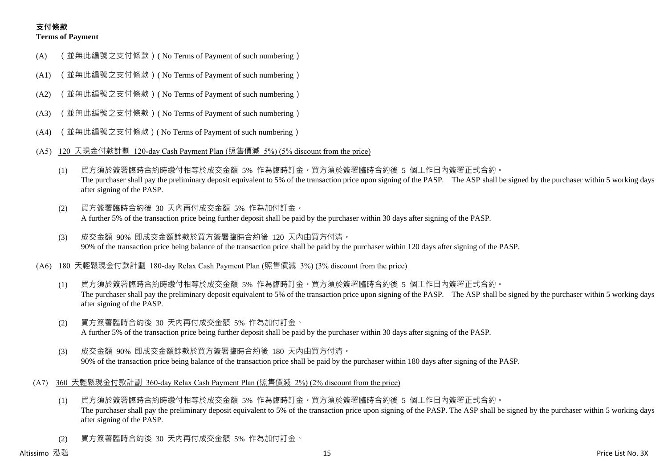# **支付條款 Terms of Payment**

- (A) (並無此編號之支付條款)( No Terms of Payment of such numbering)
- (A1) (並無此編號之支付條款)( No Terms of Payment of such numbering)
- (A2) (並無此編號之支付條款)( No Terms of Payment of such numbering)
- (A3) (並無此編號之支付條款)( No Terms of Payment of such numbering)
- (A4) (並無此編號之支付條款)( No Terms of Payment of such numbering)
- (A5) 120 天現金付款計劃 120-day Cash Payment Plan (照售價減 5%) (5% discount from the price)
	- (1) 買方須於簽署臨時合約時繳付相等於成交金額 5% 作為臨時訂金。買方須於簽署臨時合約後 5 個工作日內簽署正式合約。 The purchaser shall pay the preliminary deposit equivalent to 5% of the transaction price upon signing of the PASP. The ASP shall be signed by the purchaser within 5 working days after signing of the PASP.
	- (2) 買方簽署臨時合約後 30 天內再付成交金額 5% 作為加付訂金。 A further 5% of the transaction price being further deposit shall be paid by the purchaser within 30 days after signing of the PASP.
	- (3) 成交金額 90% 即成交金額餘款於買方簽署臨時合約後 120 天內由買方付清。 90% of the transaction price being balance of the transaction price shall be paid by the purchaser within 120 days after signing of the PASP.
- (A6) 180 天輕鬆現金付款計劃 180-day Relax Cash Payment Plan (照售價減 3%) (3% discount from the price)
	- (1) 買方須於簽署臨時合約時繳付相等於成交金額 5% 作為臨時訂金。買方須於簽署臨時合約後 5 個工作日內簽署正式合約。 The purchaser shall pay the preliminary deposit equivalent to 5% of the transaction price upon signing of the PASP. The ASP shall be signed by the purchaser within 5 working days after signing of the PASP.
	- (2) 買方簽署臨時合約後 30 天內再付成交金額 5% 作為加付訂金。 A further 5% of the transaction price being further deposit shall be paid by the purchaser within 30 days after signing of the PASP.
	- (3) 成交金額 90% 即成交金額餘款於買方簽署臨時合約後 180 天內由買方付清。 90% of the transaction price being balance of the transaction price shall be paid by the purchaser within 180 days after signing of the PASP.
- (A7) 360 天輕鬆現金付款計劃 360-day Relax Cash Payment Plan (照售價減 2%) (2% discount from the price)
	- (1) 買方須於簽署臨時合約時繳付相等於成交金額 5% 作為臨時訂金。買方須於簽署臨時合約後 5 個工作日內簽署正式合約。 The purchaser shall pay the preliminary deposit equivalent to 5% of the transaction price upon signing of the PASP. The ASP shall be signed by the purchaser within 5 working days after signing of the PASP.
	- (2) 買方簽署臨時合約後 30 天內再付成交金額 5% 作為加付訂金。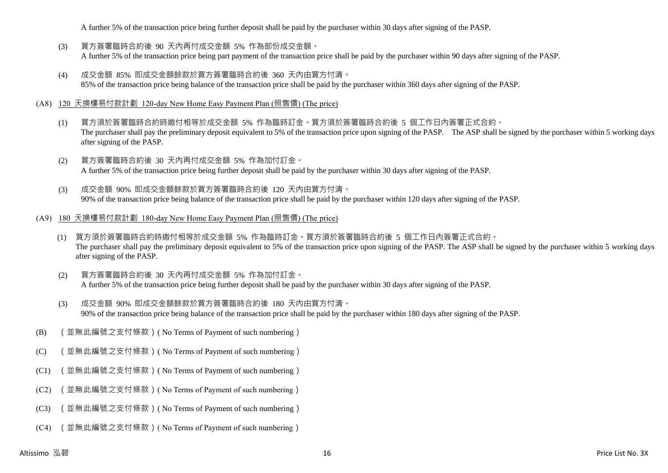A further 5% of the transaction price being further deposit shall be paid by the purchaser within 30 days after signing of the PASP.

- (3) 買方簽署臨時合約後 90 天內再付成交金額 5% 作為部份成交金額。 A further 5% of the transaction price being part payment of the transaction price shall be paid by the purchaser within 90 days after signing of the PASP.
- (4) 成交金額 85% 即成交金額餘款於買方簽署臨時合約後 360 天內由買方付清。 85% of the transaction price being balance of the transaction price shall be paid by the purchaser within 360 days after signing of the PASP.

#### (A8) 120 天換樓易付款計劃 120-day New Home Easy Payment Plan (照售價) (The price)

- (1) 買方須於簽署臨時合約時繳付相等於成交金額 5% 作為臨時訂金。買方須於簽署臨時合約後 5 個工作日內簽署正式合約。 The purchaser shall pay the preliminary deposit equivalent to 5% of the transaction price upon signing of the PASP. The ASP shall be signed by the purchaser within 5 working days after signing of the PASP.
- (2) 買方簽署臨時合約後 30 天內再付成交金額 5% 作為加付訂金。 A further 5% of the transaction price being further deposit shall be paid by the purchaser within 30 days after signing of the PASP.
- (3) 成交金額 90% 即成交金額餘款於買方簽署臨時合約後 120 天內由買方付清。 90% of the transaction price being balance of the transaction price shall be paid by the purchaser within 120 days after signing of the PASP.
- (A9) 180 天換樓易付款計劃 180-day New Home Easy Payment Plan (照售價) (The price)
	- (1) 買方須於簽署臨時合約時繳付相等於成交金額 5% 作為臨時訂金。買方須於簽署臨時合約後 5 個工作日內簽署正式合約。 The purchaser shall pay the preliminary deposit equivalent to 5% of the transaction price upon signing of the PASP. The ASP shall be signed by the purchaser within 5 working days after signing of the PASP.
	- (2) 買方簽署臨時合約後 30 天內再付成交金額 5% 作為加付訂金。 A further 5% of the transaction price being further deposit shall be paid by the purchaser within 30 days after signing of the PASP.
	- (3) 成交金額 90% 即成交金額餘款於買方簽署臨時合約後 180 天內由買方付清。 90% of the transaction price being balance of the transaction price shall be paid by the purchaser within 180 days after signing of the PASP.
- (B) (並無此編號之支付條款)( No Terms of Payment of such numbering)
- (C) (並無此編號之支付條款)( No Terms of Payment of such numbering)
- (C1) (並無此編號之支付條款)( No Terms of Payment of such numbering)
- (C2) (並無此編號之支付條款)( No Terms of Payment of such numbering)
- (C3) (並無此編號之支付條款)( No Terms of Payment of such numbering)
- (C4) (並無此編號之支付條款)( No Terms of Payment of such numbering)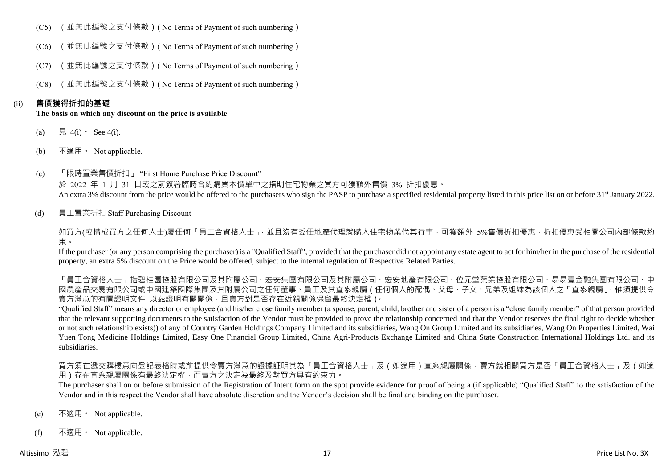- (C5) (並無此編號之支付條款)( No Terms of Payment of such numbering)
- (C6) (並無此編號之支付條款)( No Terms of Payment of such numbering)
- (C7) (並無此編號之支付條款)( No Terms of Payment of such numbering)
- (C8) (並無此編號之支付條款)( No Terms of Payment of such numbering)

### (ii) **售價獲得折扣的基礎**

#### **The basis on which any discount on the price is available**

- (a) 見 4(i) See 4(i).
- (b) 不適用。 Not applicable.
- (c) 「限時置業售價折扣」 "First Home Purchase Price Discount" 於 2022 年 1 月 31 日或之前簽署臨時合約購買本價單中之指明住宅物業之買方可獲額外售價 3% 折扣優惠。 An extra 3% discount from the price would be offered to the purchasers who sign the PASP to purchase a specified residential property listed in this price list on or before 31<sup>st</sup> January 2022.
- (d) 員工置業折扣 Staff Purchasing Discount

如買方(或構成買方之任何人士)屬任何「員工合資格人士」,並且沒有委任地產代理就購入住宅物業代其行事,可獲額外 5%售價折扣優惠,折扣優惠受相關公司內部條款約 束。

If the purchaser (or any person comprising the purchaser) is a "Qualified Staff", provided that the purchaser did not appoint any estate agent to act for him/her in the purchase of the residential property, an extra 5% discount on the Price would be offered, subject to the internal regulation of Respective Related Parties.

「員工合資格人士」指碧桂園控股有限公司及其附屬公司、宏安集團有限公司及其附屬公司、宏安地產有限公司、位元堂藥業控股有限公司、易易壹金融集團有限公司、中 國農產品交易有限公司或中國建築國際集團及其附屬公司之任何董事、員工及其直系親屬(任何個人的配偶、父母、子女、兄弟及姐妹為該個人之「直系親屬」,惟須提供令 賣方滿意的有關證明文件 以茲證明有關關係,且賣方對是否存在近親關係保留最終決定權)。

"Qualified Staff" means any director or employee (and his/her close family member (a spouse, parent, child, brother and sister of a person is a "close family member" of that person provided that the relevant supporting documents to the satisfaction of the Vendor must be provided to prove the relationship concerned and that the Vendor reserves the final right to decide whether or not such relationship exists)) of any of Country Garden Holdings Company Limited and its subsidiaries, Wang On Group Limited and its subsidiaries, Wang On Properties Limited, Wai Yuen Tong Medicine Holdings Limited, Easy One Financial Group Limited, China Agri-Products Exchange Limited and China State Construction International Holdings Ltd. and its subsidiaries.

買方須在遞交購樓意向登記表格時或前提供令賣方滿意的證據証明其為「員工合資格人士」及(如適用)直系親屬關係,賣方就相關買方是否「員工合資格人士」及(如適 用)存在直系親屬關係有最終決定權,而賣方之決定為最終及對買方具有約束力。

The purchaser shall on or before submission of the Registration of Intent form on the spot provide evidence for proof of being a (if applicable) "Qualified Staff" to the satisfaction of the Vendor and in this respect the Vendor shall have absolute discretion and the Vendor's decision shall be final and binding on the purchaser.

- (e) 不適用。 Not applicable.
- (f) 不適用。 Not applicable.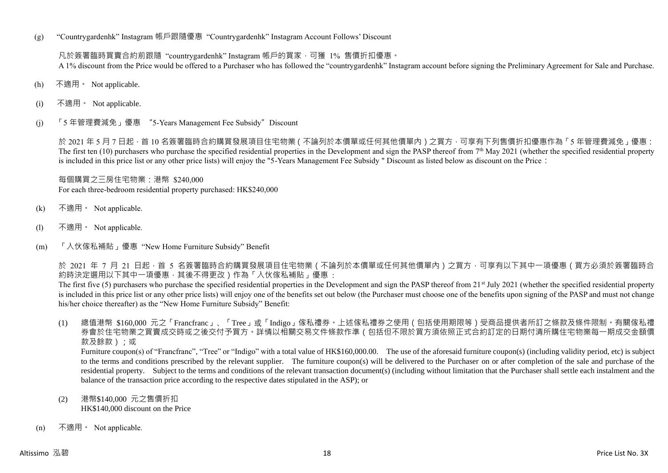(g) "Countrygardenhk" Instagram 帳戶跟隨優惠 "Countrygardenhk" Instagram Account Follows' Discount

凡於簽署臨時買賣合約前跟隨 "countrygardenhk" Instagram 帳戶的買家,可獲 1% 售價折扣優惠。 A 1% discount from the Price would be offered to a Purchaser who has followed the "countrygardenhk" Instagram account before signing the Preliminary Agreement for Sale and Purchase.

- (h) 不適用。 Not applicable.
- (i) 不適用。 Not applicable.
- (j) 「5 年管理費減免」優惠 "5-Years Management Fee Subsidy"Discount

於 2021 年 5 月 7 日起, 首 10 名簽署臨時合約購買發展項目住宅物業 ( 不論列於本價單或任何其他價單內 ) 之買方, 可享有下列售價折扣優惠作為 「5 年管理費減免」優惠: The first ten  $(10)$  purchasers who purchase the specified residential properties in the Development and sign the PASP thereof from  $7<sup>th</sup>$  May 2021 (whether the specified residential property is included in this price list or any other price lists) will enjoy the "5-Years Management Fee Subsidy " Discount as listed below as discount on the Price:

每個購買之三房住宅物業:港幣 \$240,000 For each three-bedroom residential property purchased: HK\$240,000

- (k) 不適用。 Not applicable.
- (l) 不適用。 Not applicable.
- (m) 「入伙傢私補貼」優惠 "New Home Furniture Subsidy" Benefit

於 2021 年 7 月 21 日起,首 5 名簽署臨時合約購買發展項目住宅物業 ( 不論列於本價單或任何其他價單內 ) 之買方,可享有以下其中一項優惠 ( 買方必須於簽署臨時合 約時決定選用以下其中一項優惠,其後不得更改)作為「入伙傢私補貼」優惠:

The first five (5) purchasers who purchase the specified residential properties in the Development and sign the PASP thereof from 21<sup>st</sup> July 2021 (whether the specified residential property is included in this price list or any other price lists) will enjoy one of the benefits set out below (the Purchaser must choose one of the benefits upon signing of the PASP and must not change his/her choice thereafter) as the "New Home Furniture Subsidy" Benefit:

(1) 總值港幣 \$160,000 元之「Francfranc」、「Tree」或「Indigo」傢私禮券。上述傢私禮券之使用(包括使用期限等)受商品提供者所訂之條款及條件限制。有關傢私禮 券會於住宅物業之買賣成交時或之後交付予買方。詳情以相關交易文件條款作準(包括但不限於買方須依照正式合約訂定的日期付清所購住宅物業每一期成交金額價 款及餘款);或

Furniture coupon(s) of "Francfranc", "Tree" or "Indigo" with a total value of HK\$160,000.00. The use of the aforesaid furniture coupon(s) (including validity period, etc) is subject to the terms and conditions prescribed by the relevant supplier. The furniture coupon(s) will be delivered to the Purchaser on or after completion of the sale and purchase of the residential property. Subject to the terms and conditions of the relevant transaction document(s) (including without limitation that the Purchaser shall settle each instalment and the balance of the transaction price according to the respective dates stipulated in the ASP); or

- (2) 港幣\$140,000 元之售價折扣 HK\$140,000 discount on the Price
- (n) 不適用。 Not applicable.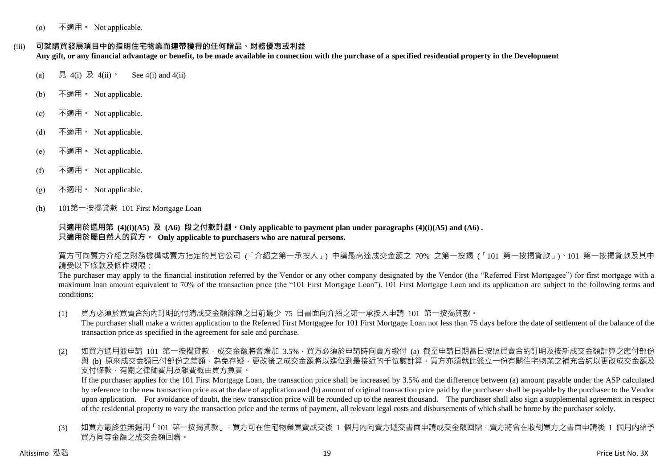(o) 不適用。 Not applicable.

(iii) **可就購買發展項目中的指明住宅物業而連帶獲得的任何贈品、財務優惠或利益**

**Any gift, or any financial advantage or benefit, to be made available in connection with the purchase of a specified residential property in the Development**

- (a) 見 4(i) 及 4(ii)。 See 4(i) and 4(ii)
- (b) 不適用。 Not applicable.
- (c) 不適用。 Not applicable.
- (d) 不適用。 Not applicable.
- (e) 不適用。 Not applicable.
- (f) 不適用。 Not applicable.
- $(g)$  不適用 · Not applicable.
- (h) 101第一按揭貸款 101 First Mortgage Loan

**只適用於選用第 (4)(i)(A5) 及 (A6) 段之付款計劃。Only applicable to payment plan under paragraphs (4)(i)(A5) and (A6) . 只適用於屬自然人的買方。 Only applicable to purchasers who are natural persons.**

買方可向賣方介紹之財務機構或賣方指定的其它公司 (「介紹之第一承按人」) 申請最高達成交金額之 70% 之第一按揭 (「101 第一按揭貸款」)。101 第一按揭貸款及其申 請受以下條款及條件規限:

The purchaser may apply to the financial institution referred by the Vendor or any other company designated by the Vendor (the "Referred First Mortgagee") for first mortgage with a maximum loan amount equivalent to 70% of the transaction price (the "101 First Mortgage Loan"). 101 First Mortgage Loan and its application are subject to the following terms and conditions:

- (1) 買方必須於買賣合約內訂明的付清成交金額餘額之日前最少 75 日書面向介紹之第一承按人申請 101 第一按揭貸款。 The purchaser shall make a written application to the Referred First Mortgagee for 101 First Mortgage Loan not less than 75 days before the date of settlement of the balance of the transaction price as specified in the agreement for sale and purchase.
- (2) 如買方選用並申請 101 第一按揭貸款,成交金額將會增加 3.5%,買方必須於申請時向賣方繳付 (a) 截至申請日期當日按照買賣合約訂明及按新成交金額計算之應付部份 與 (b) 原來成交金額已付部份之差額。為免存疑,更改後之成交金額將以進位到最接近的千位數計算。買方亦須就此簽立一份有關住宅物業之補充合約以更改成交金額及 支付條款,有關之律師費用及雜費概由買方負責。

If the purchaser applies for the 101 First Mortgage Loan, the transaction price shall be increased by 3.5% and the difference between (a) amount payable under the ASP calculated by reference to the new transaction price as at the date of application and (b) amount of original transaction price paid by the purchaser shall be payable by the purchaser to the Vendor upon application. For avoidance of doubt, the new transaction price will be rounded up to the nearest thousand. The purchaser shall also sign a supplemental agreement in respect of the residential property to vary the transaction price and the terms of payment, all relevant legal costs and disbursements of which shall be borne by the purchaser solely.

(3) 如買方最終並無選用「101 第一按揭貸款」,買方可在住宅物業買賣成交後 1 個月内向賣方遞交書面申請成交金額回贈,賣方將會在收到買方之書面申請後 1 個月内給予 買方同等金額之成交金額回贈。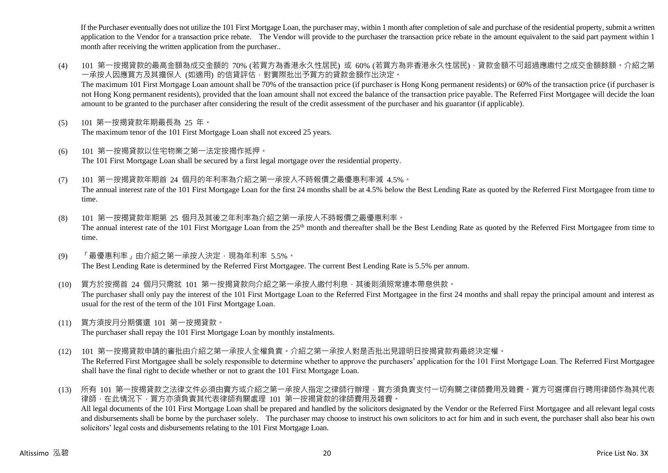If the Purchaser eventually does not utilize the 101 First Mortgage Loan, the purchaser may, within 1 month after completion of sale and purchase of the residential property, submit a written application to the Vendor for a transaction price rebate. The Vendor will provide to the purchaser the transaction price rebate in the amount equivalent to the said part payment within 1 month after receiving the written application from the purchaser..

- (4) 101 第一按揭貸款的最高金額為成交金額的 70% (若買方為香港永久性居民) 或 60% (若買方為非香港永久性居民),貸款金額不可超過應繳付之成交金額餘額。介紹之第 一承按人因應買方及其擔保人 (如適用) 的信貸評估,對實際批出予買方的貸款金額作出決定。 The maximum 101 First Mortgage Loan amount shall be 70% of the transaction price (if purchaser is Hong Kong permanent residents) or 60% of the transaction price (if purchaser is not Hong Kong permanent residents), provided that the loan amount shall not exceed the balance of the transaction price payable. The Referred First Mortgagee will decide the loan amount to be granted to the purchaser after considering the result of the credit assessment of the purchaser and his guarantor (if applicable).
- (5) 101 第一按揭貸款年期最長為 25 年。 The maximum tenor of the 101 First Mortgage Loan shall not exceed 25 years.
- (6) 101 第一按揭貸款以住宅物業之第一法定按揭作抵押。 The 101 First Mortgage Loan shall be secured by a first legal mortgage over the residential property.
- (7) 101 第一按揭貸款年期首 24 個月的年利率為介紹之第一承按人不時報價之最優惠利率減 4.5%。 The annual interest rate of the 101 First Mortgage Loan for the first 24 months shall be at 4.5% below the Best Lending Rate as quoted by the Referred First Mortgagee from time to time.
- (8) 101 第一按揭貸款年期第 25 個月及其後之年利率為介紹之第一承按人不時報價之最優惠利率。 The annual interest rate of the 101 First Mortgage Loan from the 25<sup>th</sup> month and thereafter shall be the Best Lending Rate as quoted by the Referred First Mortgagee from time to time.
- (9) 「最優惠利率」由介紹之第一承按人決定,現為年利率 5.5%。 The Best Lending Rate is determined by the Referred First Mortgagee. The current Best Lending Rate is 5.5% per annum.
- (10) 買方於按揭首 24 個月只需就 101 第一按揭貸款向介紹之第一承按人繳付利息,其後則須照常連本帶息供款。 The purchaser shall only pay the interest of the 101 First Mortgage Loan to the Referred First Mortgagee in the first 24 months and shall repay the principal amount and interest as usual for the rest of the term of the 101 First Mortgage Loan.
- (11) 買方須按月分期償還 101 第一按揭貸款。 The purchaser shall repay the 101 First Mortgage Loan by monthly instalments.
- (12) 101 第一按揭貸款申請的審批由介紹之第一承按人全權負責。介紹之第一承按人對是否批出見證明日按揭貸款有最終決定權。 The Referred First Mortgagee shall be solely responsible to determine whether to approve the purchasers' application for the 101 First Mortgage Loan. The Referred First Mortgagee shall have the final right to decide whether or not to grant the 101 First Mortgage Loan.
- (13) 所有 101 第一按揭貸款之法律文件必須由賣方或介紹之第一承按人指定之律師行辦理,買方須負責支付一切有關之律師費用及雜費。買方可選擇自行聘用律師作為其代表 律師,在此情況下,買方亦須負責其代表律師有關處理 101 第一按揭貸款的律師費用及雜費。 All legal documents of the 101 First Mortgage Loan shall be prepared and handled by the solicitors designated by the Vendor or the Referred First Mortgagee and all relevant legal costs and disbursements shall be borne by the purchaser solely. The purchaser may choose to instruct his own solicitors to act for him and in such event, the purchaser shall also bear his own solicitors' legal costs and disbursements relating to the 101 First Mortgage Loan.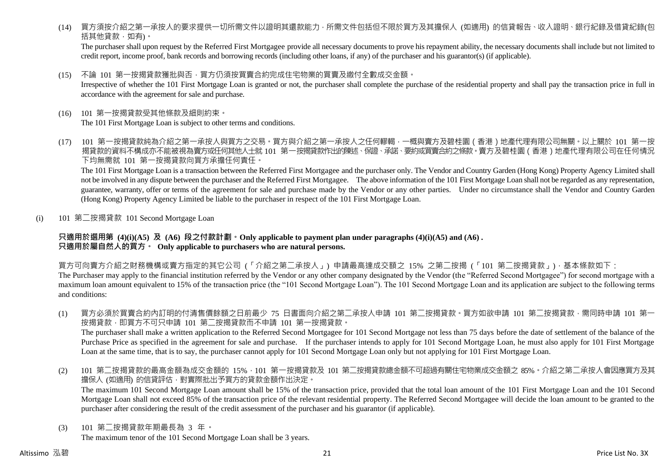(14) 買方須按介紹之第一承按人的要求提供一切所需文件以證明其還款能力,所需文件包括但不限於買方及其擔保人 (如適用) 的信貸報告、收入證明、銀行紀錄及借貸紀錄(包 括其他貸款,如有)。

The purchaser shall upon request by the Referred First Mortgagee provide all necessary documents to prove his repayment ability, the necessary documents shall include but not limited to credit report, income proof, bank records and borrowing records (including other loans, if any) of the purchaser and his guarantor(s) (if applicable).

(15) 不論 101 第一按揭貸款獲批與否,買方仍須按買賣合約完成住宅物業的買賣及繳付全數成交金額。

Irrespective of whether the 101 First Mortgage Loan is granted or not, the purchaser shall complete the purchase of the residential property and shall pay the transaction price in full in accordance with the agreement for sale and purchase.

- (16) 101 第一按揭貸款受其他條款及細則約束。 The 101 First Mortgage Loan is subject to other terms and conditions.
- (17) 101 第一按揭貸款純為介紹之第一承按人與買方之交易。買方與介紹之第一承按人之任何轇輵,一概與賣方及碧桂園(香港)地產代理有限公司無關。以上關於 101 第一按 揭貸款的資料不構成亦不能被視為賣方或任何其他人士就 101 第一按揭貸款作出的陳述、保證、承諾、要約或買賣合約之條款。賣方及碧桂園(香港)地產代理有限公司在任何情況 下均無需就 101 第一按揭貸款向買方承擔任何責任。

The 101 First Mortgage Loan is a transaction between the Referred First Mortgagee and the purchaser only. The Vendor and Country Garden (Hong Kong) Property Agency Limited shall not be involved in any dispute between the purchaser and the Referred First Mortgagee. The above information of the 101 First Mortgage Loan shall not be regarded as any representation, guarantee, warranty, offer or terms of the agreement for sale and purchase made by the Vendor or any other parties. Under no circumstance shall the Vendor and Country Garden (Hong Kong) Property Agency Limited be liable to the purchaser in respect of the 101 First Mortgage Loan.

(i) 101 第二按揭貸款 101 Second Mortgage Loan

#### **只適用於選用第 (4)(i)(A5) 及 (A6) 段之付款計劃。Only applicable to payment plan under paragraphs (4)(i)(A5) and (A6) . 只適用於屬自然人的買方。 Only applicable to purchasers who are natural persons.**

買方可向賣方介紹之財務機構或賣方指定的其它公司 (「介紹之第二承按人」) 申請最高達成交額之 15% 之第二按揭 (「101 第二按揭貸款」),基本條款如下: The Purchaser may apply to the financial institution referred by the Vendor or any other company designated by the Vendor (the "Referred Second Mortgagee") for second mortgage with a maximum loan amount equivalent to 15% of the transaction price (the "101 Second Mortgage Loan"). The 101 Second Mortgage Loan and its application are subject to the following terms and conditions:

(1) 買方必須於買賣合約內訂明的付清售價餘額之日前最少 75 日書面向介紹之第二承按人申請 101 第二按揭貸款。買方如欲申請 101 第二按揭貸款,需同時申請 101 第一 按揭貸款,即買方不可只申請 101 第二按揭貸款而不申請 101 第一按揭貸款。

The purchaser shall make a written application to the Referred Second Mortgagee for 101 Second Mortgage not less than 75 days before the date of settlement of the balance of the Purchase Price as specified in the agreement for sale and purchase. If the purchaser intends to apply for 101 Second Mortgage Loan, he must also apply for 101 First Mortgage Loan at the same time, that is to say, the purchaser cannot apply for 101 Second Mortgage Loan only but not applying for 101 First Mortgage Loan.

(2) 101 第二按揭貸款的最高金額為成交金額的 15%,101 第一按揭貸款及 101 第二按揭貸款總金額不可超過有關住宅物業成交金額之 85%。介紹之第二承按人會因應買方及其 擔保人 (如適用) 的信貸評估,對實際批出予買方的貸款金額作出決定。

The maximum 101 Second Mortgage Loan amount shall be 15% of the transaction price, provided that the total loan amount of the 101 First Mortgage Loan and the 101 Second Mortgage Loan shall not exceed 85% of the transaction price of the relevant residential property. The Referred Second Mortgagee will decide the loan amount to be granted to the purchaser after considering the result of the credit assessment of the purchaser and his guarantor (if applicable).

(3) 101 第二按揭貸款年期最長為 3 年。

The maximum tenor of the 101 Second Mortgage Loan shall be 3 years.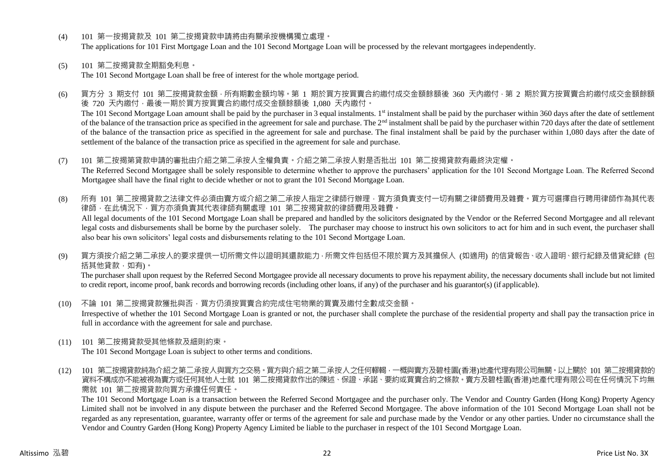- (4) 101 第一按揭貸款及 101 第二按揭貸款申請將由有關承按機構獨立處理。 The applications for 101 First Mortgage Loan and the 101 Second Mortgage Loan will be processed by the relevant mortgagees independently.
- (5) 101 第二按揭貸款全期豁免利息。

The 101 Second Mortgage Loan shall be free of interest for the whole mortgage period.

- (6) 買方分 3 期支付 101 第二按揭貸款金額,所有期數金額均等。第 1 期於買方按買賣合約繳付成交金額餘額後 360 天內繳付,第 2 期於買方按買賣合約繳付成交金額餘額 後 720 天內繳付,最後一期於買方按買賣合約繳付成交金額餘額後 1,080 天內繳付。 The 101 Second Mortgage Loan amount shall be paid by the purchaser in 3 equal instalments. 1<sup>st</sup> instalment shall be paid by the purchaser within 360 days after the date of settlement of the balance of the transaction price as specified in the agreement for sale and purchase. The 2<sup>nd</sup> instalment shall be paid by the purchaser within 720 days after the date of settlement of the balance of the transaction price as specified in the agreement for sale and purchase. The final instalment shall be paid by the purchaser within 1,080 days after the date of settlement of the balance of the transaction price as specified in the agreement for sale and purchase.
- (7) 101 第二按揭第貸款申請的審批由介紹之第二承按人全權負責。介紹之第二承按人對是否批出 101 第二按揭貸款有最終決定權。 The Referred Second Mortgagee shall be solely responsible to determine whether to approve the purchasers' application for the 101 Second Mortgage Loan. The Referred Second Mortgagee shall have the final right to decide whether or not to grant the 101 Second Mortgage Loan.
- (8) 所有 101 第二按揭貸款之法律文件必須由賣方或介紹之第二承按人指定之律師行辦理,買方須負責支付一切有關之律師費用及雜費。買方可選擇自行聘用律師作為其代表 律師,在此情況下,買方亦須負責其代表律師有關處理 101 第二按揭貸款的律師費用及雜費。 All legal documents of the 101 Second Mortgage Loan shall be prepared and handled by the solicitors designated by the Vendor or the Referred Second Mortgagee and all relevant legal costs and disbursements shall be borne by the purchaser solely. The purchaser may choose to instruct his own solicitors to act for him and in such event, the purchaser shall also bear his own solicitors' legal costs and disbursements relating to the 101 Second Mortgage Loan.
- (9) 買方須按介紹之第二承按人的要求提供一切所需文件以證明其還款能力,所需文件包括但不限於買方及其擔保人 (如適用) 的信貸報告、收入證明、銀行紀錄及借貸紀錄 (包 括其他貸款,如有)。

The purchaser shall upon request by the Referred Second Mortgagee provide all necessary documents to prove his repayment ability, the necessary documents shall include but not limited to credit report, income proof, bank records and borrowing records (including other loans, if any) of the purchaser and his guarantor(s) (if applicable).

- (10) 不論 101 第二按揭貸款獲批與否,買方仍須按買賣合約完成住宅物業的買賣及繳付全數成交金額。 Irrespective of whether the 101 Second Mortgage Loan is granted or not, the purchaser shall complete the purchase of the residential property and shall pay the transaction price in full in accordance with the agreement for sale and purchase.
- (11) 101 第二按揭貸款受其他條款及細則約束。

The 101 Second Mortgage Loan is subject to other terms and conditions.

(12) 101 第二按揭貸款純為介紹之第二承按人與買方之交易。買方與介紹之第二承按人之任何轇輵,一概與賣方及碧桂園(香港)地產代理有限公司無關。以上關於 101 第二按揭貸款的 資料不構成亦不能被視為賣方或任何其他人士就 101 第二按揭貸款作出的陳述、保證、承諾、要約或買賣合約之條款。賣方及碧桂園(香港)地產代理有限公司在任何情況下均無 需就 101 第二按揭貸款向買方承擔任何責任。

The 101 Second Mortgage Loan is a transaction between the Referred Second Mortgagee and the purchaser only. The Vendor and Country Garden (Hong Kong) Property Agency Limited shall not be involved in any dispute between the purchaser and the Referred Second Mortgagee. The above information of the 101 Second Mortgage Loan shall not be regarded as any representation, guarantee, warranty offer or terms of the agreement for sale and purchase made by the Vendor or any other parties. Under no circumstance shall the Vendor and Country Garden (Hong Kong) Property Agency Limited be liable to the purchaser in respect of the 101 Second Mortgage Loan.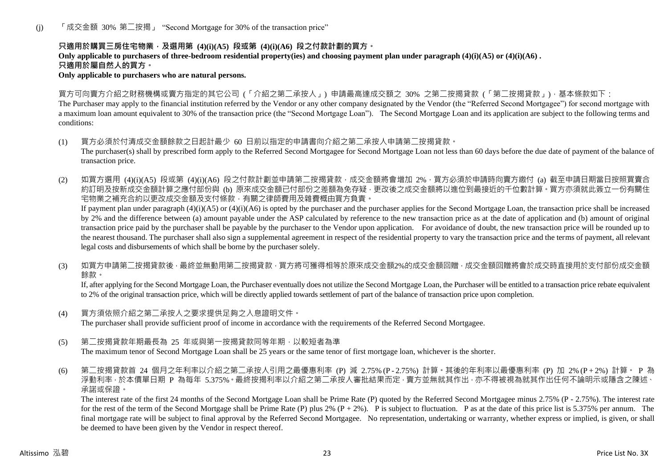(j) 「成交金額 30% 第二按揭」 "Second Mortgage for 30% of the transaction price"

## **只適用於購買三房住宅物業,及選用第 (4)(i)(A5) 段或第 (4)(i)(A6) 段之付款計劃的買方。**

**Only applicable to purchasers of three-bedroom residential property(ies) and choosing payment plan under paragraph (4)(i)(A5) or (4)(i)(A6) . 只適用於屬自然人的買方。**

**Only applicable to purchasers who are natural persons.**

買方可向賣方介紹之財務機構或賣方指定的其它公司 (「介紹之第二承按人」) 申請最高達成交額之 30% 之第二按揭貸款 (「第二按揭貸款」),基本條款如下:

The Purchaser may apply to the financial institution referred by the Vendor or any other company designated by the Vendor (the "Referred Second Mortgagee") for second mortgage with a maximum loan amount equivalent to 30% of the transaction price (the "Second Mortgage Loan"). The Second Mortgage Loan and its application are subject to the following terms and conditions:

- (1) 買方必須於付清成交金額餘款之日起計最少 60 日前以指定的申請書向介紹之第二承按人申請第二按揭貸款。 The purchaser(s) shall by prescribed form apply to the Referred Second Mortgagee for Second Mortgage Loan not less than 60 days before the due date of payment of the balance of transaction price.
- (2) 如買方選用 (4)(i)(A5) 段或第 (4)(i)(A6) 段之付款計劃並申請第二按揭貸款,成交金額將會增加 2%,買方必須於申請時向賣方繳付 (a) 截至申請日期當日按照買賣合 約訂明及按新成交金額計算之應付部份與 (b) 原來成交金額已付部份之差額為免存疑,更改後之成交金額將以進位到最接近的千位數計算。買方亦須就此簽立一份有關住 宅物業之補充合約以更改成交金額及支付條款,有關之律師費用及雜費概由買方負責。

If payment plan under paragraph  $(4)(i)(A5)$  or  $(4)(i)(A6)$  is opted by the purchaser and the purchaser applies for the Second Mortgage Loan, the transaction price shall be increased by 2% and the difference between (a) amount payable under the ASP calculated by reference to the new transaction price as at the date of application and (b) amount of original transaction price paid by the purchaser shall be payable by the purchaser to the Vendor upon application. For avoidance of doubt, the new transaction price will be rounded up to the nearest thousand. The purchaser shall also sign a supplemental agreement in respect of the residential property to vary the transaction price and the terms of payment, all relevant legal costs and disbursements of which shall be borne by the purchaser solely.

(3) 如買方申請第二按揭貸款後,最終並無動用第二按揭貸款,買方將可獲得相等於原來成交金額2%的成交金額回贈,成交金額回贈將會於成交時直接用於支付部份成交金額 餘款。

If, after applying for the Second Mortgage Loan, the Purchaser eventually does not utilize the Second Mortgage Loan, the Purchaser will be entitled to a transaction price rebate equivalent to 2% of the original transaction price, which will be directly applied towards settlement of part of the balance of transaction price upon completion.

- (4) 買方須依照介紹之第二承按人之要求提供足夠之入息證明文件。 The purchaser shall provide sufficient proof of income in accordance with the requirements of the Referred Second Mortgagee.
- (5) 第二按揭貸款年期最長為 25 年或與第一按揭貸款同等年期,以較短者為準

The maximum tenor of Second Mortgage Loan shall be 25 years or the same tenor of first mortgage loan, whichever is the shorter.

(6) 第二按揭貸款首 24 個月之年利率以介紹之第二承按人引用之最優惠利率 (P) 減 2.75% (P - 2.75%) 計算。其後的年利率以最優惠利率 (P) 加 2% (P + 2%) 計算。 P 為 浮動利率,於本價單日期 P 為每年 5.375%。最終按揭利率以介紹之第二承按人審批結果而定,賣方並無就其作出,亦不得被視為就其作出任何不論明示或隱含之陳述、 承諾或保證。

The interest rate of the first 24 months of the Second Mortgage Loan shall be Prime Rate (P) quoted by the Referred Second Mortgagee minus 2.75% (P - 2.75%). The interest rate for the rest of the term of the Second Mortgage shall be Prime Rate (P) plus 2%  $(P + 2\%)$ . P is subject to fluctuation. P as at the date of this price list is 5.375% per annum. The final mortgage rate will be subject to final approval by the Referred Second Mortgagee. No representation, undertaking or warranty, whether express or implied, is given, or shall be deemed to have been given by the Vendor in respect thereof.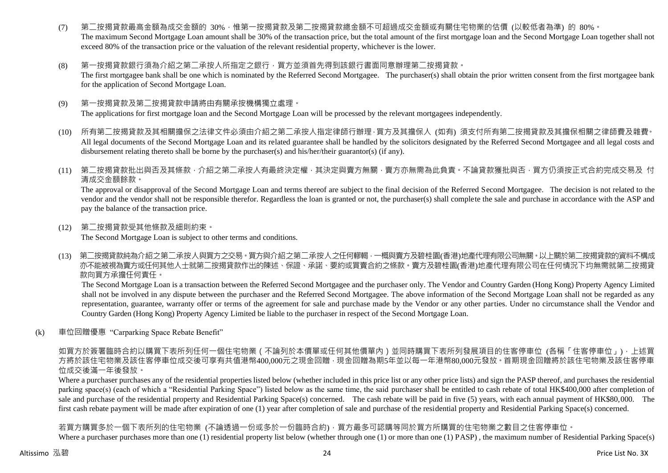- (7) 第二按揭貸款最高金額為成交金額的 30%,惟第一按揭貸款及第二按揭貸款總金額不可超過成交金額或有關住宅物業的估價 (以較低者為準) 的 80%。 The maximum Second Mortgage Loan amount shall be 30% of the transaction price, but the total amount of the first mortgage loan and the Second Mortgage Loan together shall not exceed 80% of the transaction price or the valuation of the relevant residential property, whichever is the lower.
- (8) 第一按揭貸款銀行須為介紹之第二承按人所指定之銀行,買方並須首先得到該銀行書面同意辦理第二按揭貸款。 The first mortgagee bank shall be one which is nominated by the Referred Second Mortgagee. The purchaser(s) shall obtain the prior written consent from the first mortgagee bank for the application of Second Mortgage Loan.
- (9) 第一按揭貸款及第二按揭貸款申請將由有關承按機構獨立處理。 The applications for first mortgage loan and the Second Mortgage Loan will be processed by the relevant mortgagees independently.
- (10) 所有第二按揭貸款及其相關擔保之法律文件必須由介紹之第二承按人指定律師行辦理,買方及其擔保人 (如有) 須支付所有第二按揭貸款及其擔保相關之律師費及雜費。 All legal documents of the Second Mortgage Loan and its related guarantee shall be handled by the solicitors designated by the Referred Second Mortgagee and all legal costs and disbursement relating thereto shall be borne by the purchaser(s) and his/her/their guarantor(s) (if any).
- (11) 第二按揭貸款批出與否及其條款,介紹之第二承按人有最終決定權,其決定與賣方無關,賣方亦無需為此負責。不論貸款獲批與否,買方仍須按正式合約完成交易及 付 清成交金額餘款。

The approval or disapproval of the Second Mortgage Loan and terms thereof are subject to the final decision of the Referred Second Mortgagee. The decision is not related to the vendor and the vendor shall not be responsible therefor. Regardless the loan is granted or not, the purchaser(s) shall complete the sale and purchase in accordance with the ASP and pay the balance of the transaction price.

(12) 第二按揭貸款受其他條款及細則約束。

The Second Mortgage Loan is subject to other terms and conditions.

(13) 第二按揭貸款純為介紹之第二承按人與買方之交易。買方與介紹之第二承按人之任何轇輵,一概與賣方及碧桂園(香港)地產代理有限公司無關。以上關於第二按揭貸款的資料不構成 亦不能被視為賣方或任何其他人士就第二按揭貸款作出的陳述、保證、承諾、要約或買賣合約之條款。賣方及碧桂園(香港)地產代理有限公司在任何情況下均無需就第二按揭貸 款向買方承擔任何責任。

The Second Mortgage Loan is a transaction between the Referred Second Mortgagee and the purchaser only. The Vendor and Country Garden (Hong Kong) Property Agency Limited shall not be involved in any dispute between the purchaser and the Referred Second Mortgagee. The above information of the Second Mortgage Loan shall not be regarded as any representation, guarantee, warranty offer or terms of the agreement for sale and purchase made by the Vendor or any other parties. Under no circumstance shall the Vendor and Country Garden (Hong Kong) Property Agency Limited be liable to the purchaser in respect of the Second Mortgage Loan.

(k) 車位回贈優惠 "Carparking Space Rebate Benefit"

如買方於簽署臨時合約以購買下表所列任何一個住宅物業 ( 不論列於本價單或任何其他價單內 ) 並同時購買下表所列發展項目的住客停車位 (各稱「住客停車位 」) · 上述買 方將於該住宅物業及該住客停車位成交後可享有共值港幣400,000元之現金回贈,現金回贈為期5年並以每一年港幣80,000元發放。首期現金回贈將於該住宅物業及該住客停車 位成交後滿一年後發放。

Where a purchaser purchases any of the residential properties listed below (whether included in this price list or any other price lists) and sign the PASP thereof, and purchases the residential parking space(s) (each of which a "Residential Parking Space") listed below as the same time, the said purchaser shall be entitled to cash rebate of total HK\$400,000 after completion of sale and purchase of the residential property and Residential Parking Space(s) concerned. The cash rebate will be paid in five (5) years, with each annual payment of HK\$80,000. The first cash rebate payment will be made after expiration of one (1) year after completion of sale and purchase of the residential property and Residential Parking Space(s) concerned.

若買方購買多於一個下表所列的住宅物業 (不論透過一份或多於一份臨時合約),買方最多可認購等同於買方所購買的住宅物業之數目之住客停車位。

Where a purchaser purchases more than one (1) residential property list below (whether through one (1) or more than one (1) PASP), the maximum number of Residential Parking Space(s)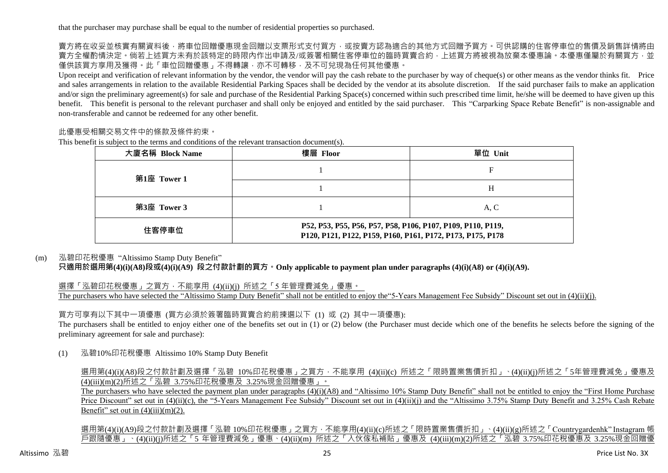賣方將在收妥並核實有關資料後,將車位回贈優惠現金回贈以支票形式支付買方,或按賣方認為適合的其他方式回贈予買方。可供認購的住客停車位的售價及銷售詳情將由 賣方全權酌情決定。倘若上述買方未有於該特定的時限內作出申請及/或簽署相關住客停車位的臨時買賣合約,上述買方將被視為放棄本優惠論。本優惠僅屬於有關買方,並 僅供該買方享用及獲得。此「車位回贈優惠」不得轉讓,亦不可轉移,及不可兌現為任何其他優惠。

Upon receipt and verification of relevant information by the vendor, the vendor will pay the cash rebate to the purchaser by way of cheque(s) or other means as the vendor thinks fit. Price and sales arrangements in relation to the available Residential Parking Spaces shall be decided by the vendor at its absolute discretion. If the said purchaser fails to make an application and/or sign the preliminary agreement(s) for sale and purchase of the Residential Parking Space(s) concerned within such prescribed time limit, he/she will be deemed to have given up this benefit. This benefit is personal to the relevant purchaser and shall only be enjoyed and entitled by the said purchaser. This "Carparking Space Rebate Benefit" is non-assignable and non-transferable and cannot be redeemed for any other benefit.

# 此優惠受相關交易文件中的條款及條件約束。

This benefit is subject to the terms and conditions of the relevant transaction document(s).

| 大廈名稱 Block Name | 樓層 Floor                                                                                                                  | 單位 Unit |  |  |  |  |  |  |
|-----------------|---------------------------------------------------------------------------------------------------------------------------|---------|--|--|--|--|--|--|
| 第1座 Tower 1     |                                                                                                                           |         |  |  |  |  |  |  |
|                 |                                                                                                                           | Н       |  |  |  |  |  |  |
| 第3座 Tower 3     |                                                                                                                           | A, C    |  |  |  |  |  |  |
| 住客停車位           | P52, P53, P55, P56, P57, P58, P106, P107, P109, P110, P119,<br>P120, P121, P122, P159, P160, P161, P172, P173, P175, P178 |         |  |  |  |  |  |  |

#### (m) 泓碧印花稅優惠 "Altissimo Stamp Duty Benefit"

**只適用於選用第(4)(i)(A8)段或(4)(i)(A9) 段之付款計劃的買方。Only applicable to payment plan under paragraphs (4)(i)(A8) or (4)(i)(A9).**

選擇「泓碧印花稅優惠」之買方, 不能享用 (4)(ii)(i) 所述之「5 年管理費減免」優惠。 The purchasers who have selected the "Altissimo Stamp Duty Benefit" shall not be entitled to enjoy the "5-Years Management Fee Subsidy" Discount set out in (4)(ii)(j).

買方可享有以下其中一項優惠 (買方必須於簽署臨時買賣合約前揀選以下 (1) 或 (2) 其中一項優惠):

The purchasers shall be entitled to enjoy either one of the benefits set out in (1) or (2) below (the Purchaser must decide which one of the benefits he selects before the signing of the preliminary agreement for sale and purchase):

(1) 泓碧10%印花稅優惠 Altissimo 10% Stamp Duty Benefit

選用第(4)(i)(A8)段之付款計劃及選擇「泓碧 10%印花稅優惠」之買方,不能享用 (4)(ii)(c) 所述之「限時置業售價折扣」、(4)(ii)(j)所述之「5年管理費減免」優惠及 (4)(iii)(m)(2)所述之「泓碧 3.75%印花稅優惠及 3.25%現金回贈優惠」。

The purchasers who have selected the payment plan under paragraphs (4)(i)(A8) and "Altissimo 10% Stamp Duty Benefit" shall not be entitled to enjoy the "First Home Purchase" Price Discount" set out in (4)(ii)(c), the "5-Years Management Fee Subsidy" Discount set out in (4)(ii)(j) and the "Altissimo 3.75% Stamp Duty Benefit and 3.25% Cash Rebate Benefit" set out in  $(4)(iii)(m)(2)$ .

選用第(4)(i)(A9)段之付款計劃及選擇「泓碧 10%印花稅優惠」之買方,不能享用(4)(ii)(c)所述之「限時置業售價折扣」、(4)(ii)(g)所述之「Countrygardenhk" Instagram 帳 戶跟隨優惠」、(4)(ii)(j)所述之「5 年管理費減免」優惠、(4)(ii)(m) 所述之「入伙傢私補貼」優惠及 (4)(iii)(m)(2)所述之「泓碧 3.75%印花稅優惠及 3.25%現金回贈優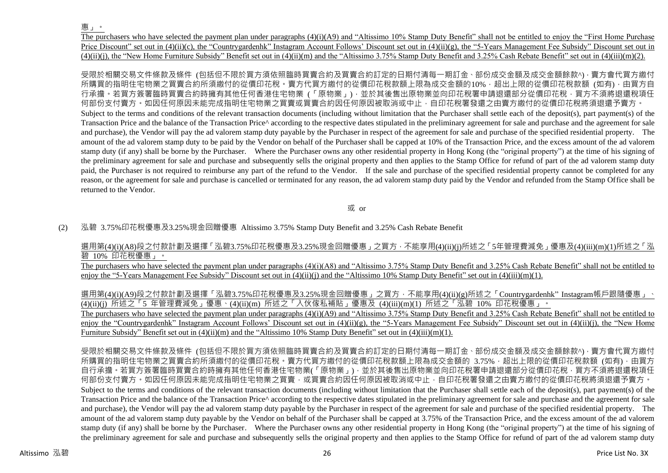惠」。

The purchasers who have selected the payment plan under paragraphs (4)(i)(A9) and "Altissimo 10% Stamp Duty Benefit" shall not be entitled to enjoy the "First Home Purchase Price Discount" set out in (4)(ii)(c), the "Countrygardenhk" Instagram Account Follows' Discount set out in (4)(ii)(g), the "5-Years Management Fee Subsidy" Discount set out in  $(4)(ii)(i)$ , the "New Home Furniture Subsidy" Benefit set out in  $(4)(ii)(m)$  and the "Altissimo 3.75% Stamp Duty Benefit and 3.25% Cash Rebate Benefit" set out in  $(4)(iii)(m)(2)$ .

受限於相關交易文件條款及條件 (包括但不限於買方須依照臨時買賣合約及買賣合約訂定的日期付清每一期訂金、部份成交金額及成交金額餘款^),賣方會代買方繳付 所購買的指明住宅物業之買賣合約所須繳付的從價印花稅。賣方代買方繳付的從價印花稅款額上限為成交金額的10%,超出上限的從價印花稅款額 (如有),由買方自 。若買方簽署臨時買賣合約時擁有其他任何香港住宅物業 (「原物業」) · 並於其後售出原物業並向印花稅署申請退還部分從價印花稅 · 買方不須將退還稅項任 何部份支付賣方。如因任何原因未能完成指明住宅物業之買賣或買賣合約因任何原因被取消或中止,自印花稅署發還之由賣方繳付的從價印花稅將須退還予賣方。 Subject to the terms and conditions of the relevant transaction documents (including without limitation that the Purchaser shall settle each of the deposit(s), part payment(s) of the Transaction Price and the balance of the Transaction Price<sup> $\land$ </sup> according to the respective dates stipulated in the preliminary agreement for sale and purchase and the agreement for sale and purchase), the Vendor will pay the ad valorem stamp duty payable by the Purchaser in respect of the agreement for sale and purchase of the specified residential property. The amount of the ad valorem stamp duty to be paid by the Vendor on behalf of the Purchaser shall be capped at 10% of the Transaction Price, and the excess amount of the ad valorem stamp duty (if any) shall be borne by the Purchaser. Where the Purchaser owns any other residential property in Hong Kong (the "original property") at the time of his signing of the preliminary agreement for sale and purchase and subsequently sells the original property and then applies to the Stamp Office for refund of part of the ad valorem stamp duty paid, the Purchaser is not required to reimburse any part of the refund to the Vendor. If the sale and purchase of the specified residential property cannot be completed for any reason, or the agreement for sale and purchase is cancelled or terminated for any reason, the ad valorem stamp duty paid by the Vendor and refunded from the Stamp Office shall be returned to the Vendor.

或 or

(2) 泓碧 3.75%印花稅優惠及3.25%現金回贈優惠 Altissimo 3.75% Stamp Duty Benefit and 3.25% Cash Rebate Benefit

選用第(4)(i)(A8)段之付款計劃及選擇「泓碧3.75%印花稅優惠及3.25%現金回贈優惠」之買方,不能享用(4)(ii)(j)所述之「5年管理費減免」優惠及(4)(iii)(m)(1)所述之「泓 碧 10% 印花稅優惠」。

The purchasers who have selected the payment plan under paragraphs (4)(i)(A8) and "Altissimo 3.75% Stamp Duty Benefit and 3.25% Cash Rebate Benefit" shall not be entitled to enjoy the "5-Years Management Fee Subsidy" Discount set out in (4)(ii)(j) and the "Altissimo 10% Stamp Duty Benefit" set out in (4)(iii)(m)(1).

選用第(4)(i)(A9)段之付款計劃及選擇「泓碧3.75%印花稅優惠及3.25%現金回贈優惠」之買方,不能享用(4)(ii)(g)所述之「Countrygardenhk" Instagram帳戶跟隨優惠」、 (4)(ii)(j) 所述之「5 年管理費減免」優惠、(4)(ii)(m) 所述之「入伙傢私補貼」優惠及 (4)(iii)(m)(1) 所述之「泓碧 10% 印花稅優惠」。

The purchasers who have selected the payment plan under paragraphs (4)(i)(A9) and "Altissimo 3.75% Stamp Duty Benefit and 3.25% Cash Rebate Benefit" shall not be entitled to enjoy the "Countrygardenhk" Instagram Account Follows' Discount set out in  $(4)(ii)(g)$ , the "5-Years Management Fee Subsidy" Discount set out in  $(4)(ii)(i)$ , the "New Home Furniture Subsidy" Benefit set out in (4)(ii)(m) and the "Altissimo 10% Stamp Duty Benefit" set out in (4)(iii)(m)(1).

受限於相關交易文件條款及條件 (包括但不限於買方須依照臨時買賣合約及買賣合約訂定的日期付清每一期訂金、部份成交金額及成交金額餘款^),賣方會代買方繳付 所購買的指明住宅物業之買賣合約所須繳付的從價印花稅。賣方代買方繳付的從價印花稅款額上限為成交金額的 3.75%, 超出上限的從價印花稅款額 (如有),由買方 自行承擔。若買方簽署臨時買賣合約時擁有其他任何香港住宅物業(「原物業」),並於其後售出原物業並向印花稅署申請退還部分從價印花稅,買方不須將退還稅項任 何部份支付賣方。如因任何原因未能完成指明住宅物業之買賣,或買賣合約因任何原因被取消或中止,自印花稅署發還之由賣方總付的從價印花稅將須退還予賣方。 Subject to the terms and conditions of the relevant transaction documents (including without limitation that the Purchaser shall settle each of the deposit(s), part payment(s) of the Transaction Price and the balance of the Transaction Price^ according to the respective dates stipulated in the preliminary agreement for sale and purchase and the agreement for sale and purchase), the Vendor will pay the ad valorem stamp duty payable by the Purchaser in respect of the agreement for sale and purchase of the specified residential property. The amount of the ad valorem stamp duty payable by the Vendor on behalf of the Purchaser shall be capped at 3.75% of the Transaction Price, and the excess amount of the ad valorem stamp duty (if any) shall be borne by the Purchaser. Where the Purchaser owns any other residential property in Hong Kong (the "original property") at the time of his signing of the preliminary agreement for sale and purchase and subsequently sells the original property and then applies to the Stamp Office for refund of part of the ad valorem stamp duty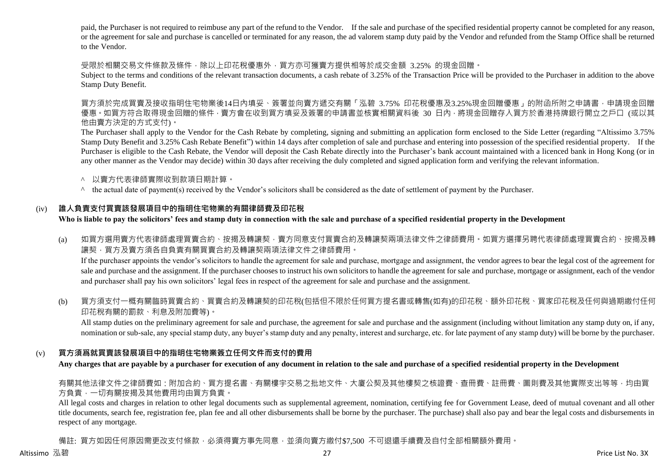paid, the Purchaser is not required to reimbuse any part of the refund to the Vendor. If the sale and purchase of the specified residential property cannot be completed for any reason, or the agreement for sale and purchase is cancelled or terminated for any reason, the ad valorem stamp duty paid by the Vendor and refunded from the Stamp Office shall be returned to the Vendor.

受限於相關交易文件條款及條件,除以上印花稅優惠外,買方亦可獲賣方提供相等於成交金額 3.25% 的現金回贈。

Subject to the terms and conditions of the relevant transaction documents, a cash rebate of 3.25% of the Transaction Price will be provided to the Purchaser in addition to the above Stamp Duty Benefit.

買方須於完成買賣及接收指明住宅物業後14日內填妥、簽署並向賣方遞交有關「泓碧 3.75% 印花稅優惠及3.25%現金回贈優惠」的附函所附之申請書,申請現金回贈 優惠 。如買方符合取得現金回贈的條件 · 賣方會在收到買方填妥及簽署的申請書並核實相關資料後 30 日内 · 將現金回贈存入買方於香港持牌銀行開立之戶口 (或以其 他由賣方決定的方式支付)。

The Purchaser shall apply to the Vendor for the Cash Rebate by completing, signing and submitting an application form enclosed to the Side Letter (regarding "Altissimo 3.75% Stamp Duty Benefit and 3.25% Cash Rebate Benefit") within 14 days after completion of sale and purchase and entering into possession of the specified residential property. If the Purchaser is eligible to the Cash Rebate, the Vendor will deposit the Cash Rebate directly into the Purchaser's bank account maintained with a licenced bank in Hong Kong (or in any other manner as the Vendor may decide) within 30 days after receiving the duly completed and signed application form and verifying the relevant information.

- ^ 以賣方代表律師實際收到款項日期計算。
- ^ the actual date of payment(s) received by the Vendor's solicitors shall be considered as the date of settlement of payment by the Purchaser.

# (iv) **誰人負責支付買賣該發展項目中的指明住宅物業的有關律師費及印花稅**

**Who is liable to pay the solicitors' fees and stamp duty in connection with the sale and purchase of a specified residential property in the Development**

(a) 如買方選用賣方代表律師處理買賣合約、按揭及轉讓契,賣方同意支付買賣合約及轉讓契兩項法律文件之律師費用。如買方選擇另聘代表律師處理買賣合約、按揭及轉 讓契,買方及賣方須各自負責有關買賣合約及轉讓契兩項法律文件之律師費用。

If the purchaser appoints the vendor's solicitors to handle the agreement for sale and purchase, mortgage and assignment, the vendor agrees to bear the legal cost of the agreement for sale and purchase and the assignment. If the purchaser chooses to instruct his own solicitors to handle the agreement for sale and purchase, mortgage or assignment, each of the vendor and purchaser shall pay his own solicitors' legal fees in respect of the agreement for sale and purchase and the assignment.

(b) 買方須支付一概有關臨時買賣合約、買賣合約及轉讓契的印花稅(包括但不限於任何買方提名書或轉售(如有)的印花稅、額外印花稅、買家印花稅及任何與過期繳付任何 印花稅有關的罰款、利息及附加費等)。

All stamp duties on the preliminary agreement for sale and purchase, the agreement for sale and purchase and the assignment (including without limitation any stamp duty on, if any, nomination or sub-sale, any special stamp duty, any buyer's stamp duty and any penalty, interest and surcharge, etc. for late payment of any stamp duty) will be borne by the purchaser.

# (v) **買方須爲就買賣該發展項目中的指明住宅物業簽立任何文件而支付的費用**

**Any charges that are payable by a purchaser for execution of any document in relation to the sale and purchase of a specified residential property in the Development**

## 有關其他法律文件之律師費如:附加合約、買方提名書、有關樓宇交易之批地文件、大廈公契及其他樓契之核證費、查冊費、註冊費、圖則費及其他實際支出等等,均由買 方負責,一切有關按揭及其他費用均由買方負責。

All legal costs and charges in relation to other legal documents such as supplemental agreement, nomination, certifying fee for Government Lease, deed of mutual covenant and all other title documents, search fee, registration fee, plan fee and all other disbursements shall be borne by the purchaser. The purchase) shall also pay and bear the legal costs and disbursements in respect of any mortgage.

備註: 買方如因任何原因需更改支付條款,必須得賣方事先同意,並須向賣方繳付\$7.500 不可退還手續費及自付全部相關額外費用。